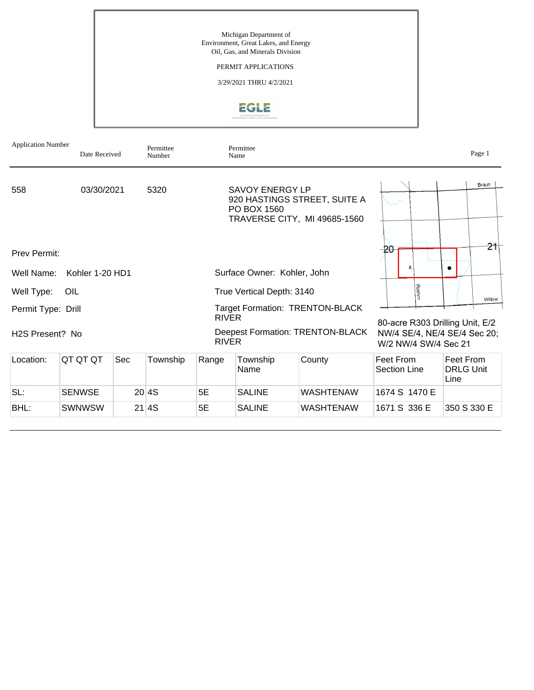Michigan Department of Environment, Great Lakes, and Energy Oil, Gas, and Minerals Division

### PERMIT APPLICATIONS

3/29/2021 THRU 4/2/2021



| <b>Application Number</b>    | Date Received   |     | Permittee<br>Number |                                                                          | Permittee<br>Name                     |                                                              |                                  |                                                                 |  |
|------------------------------|-----------------|-----|---------------------|--------------------------------------------------------------------------|---------------------------------------|--------------------------------------------------------------|----------------------------------|-----------------------------------------------------------------|--|
| 558                          | 03/30/2021      |     | 5320                |                                                                          | <b>SAVOY ENERGY LP</b><br>PO BOX 1560 | 920 HASTINGS STREET, SUITE A<br>TRAVERSE CITY, MI 49685-1560 |                                  | <b>Braun</b>                                                    |  |
| Prev Permit:                 |                 |     |                     |                                                                          |                                       |                                                              | -20<br>x                         | 21<br>۰                                                         |  |
| Well Name:                   | Kohler 1-20 HD1 |     |                     |                                                                          | Surface Owner: Kohler, John           |                                                              |                                  |                                                                 |  |
| Well Type:                   | OIL             |     |                     |                                                                          | True Vertical Depth: 3140             |                                                              | Roehm                            | Willow                                                          |  |
| Permit Type: Drill           |                 |     |                     | <b>Target Formation: TRENTON-BLACK</b><br><b>RIVER</b>                   |                                       |                                                              |                                  |                                                                 |  |
| H <sub>2</sub> S Present? No |                 |     |                     | Deepest Formation: TRENTON-BLACK<br><b>RIVER</b><br>W/2 NW/4 SW/4 Sec 21 |                                       |                                                              |                                  | 80-acre R303 Drilling Unit, E/2<br>NW/4 SE/4, NE/4 SE/4 Sec 20; |  |
| Location:                    | QT QT QT        | Sec | Township            | Range                                                                    | Township<br>Name                      | County                                                       | Feet From<br><b>Section Line</b> | Feet From<br><b>DRLG Unit</b><br>Line                           |  |
| SL:                          | <b>SENWSE</b>   |     | 20 4S               | 5E                                                                       | <b>SALINE</b>                         | <b>WASHTENAW</b>                                             | 1674 S 1470 E                    |                                                                 |  |
| BHL:                         | <b>SWNWSW</b>   |     | 21 4S               | 5E                                                                       | <b>SALINE</b>                         | WASHTENAW                                                    | 1671 S 336 E                     | 350 S 330 E                                                     |  |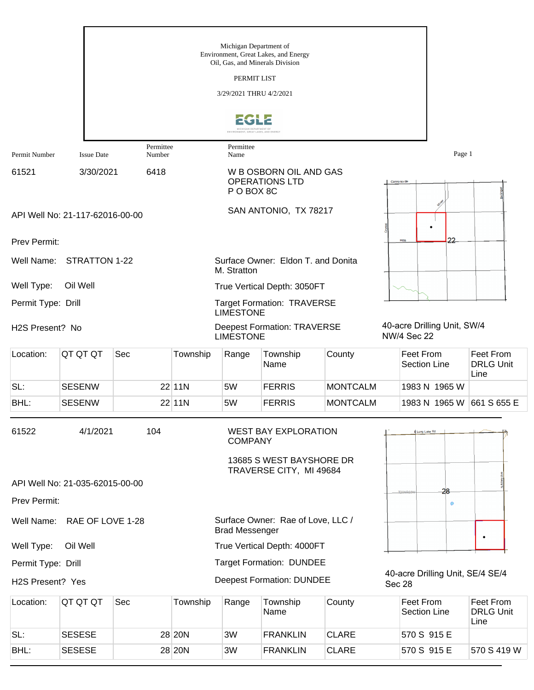|                    |                                 |                     |          | Michigan Department of<br>Oil, Gas, and Minerals Division<br>PERMIT LIST<br>3/29/2021 THRU 4/2/2021 | Environment, Great Lakes, and Energy                |                 |              |                                         |                             |                                       |
|--------------------|---------------------------------|---------------------|----------|-----------------------------------------------------------------------------------------------------|-----------------------------------------------------|-----------------|--------------|-----------------------------------------|-----------------------------|---------------------------------------|
|                    |                                 |                     |          | MICHIGAN DEPARTMENT OF<br>ONMENT, GREAT LAKES, AND ENERG'                                           |                                                     |                 |              |                                         |                             |                                       |
| Permit Number      | <b>Issue Date</b>               | Permittee<br>Number |          | Permittee<br>Name                                                                                   |                                                     |                 |              |                                         | Page 1                      |                                       |
| 61521              | 3/30/2021                       | 6418                |          | P O BOX 8C                                                                                          | W B OSBORN OIL AND GAS<br><b>OPERATIONS LTD</b>     |                 | Cannonsville |                                         |                             |                                       |
|                    | API Well No: 21-117-62016-00-00 |                     |          |                                                                                                     | SAN ANTONIO, TX 78217                               |                 |              |                                         |                             |                                       |
| Prev Permit:       |                                 |                     |          |                                                                                                     |                                                     |                 |              | Hillis                                  |                             |                                       |
| Well Name:         | STRATTON 1-22                   |                     |          | M. Stratton                                                                                         | Surface Owner: Eldon T. and Donita                  |                 |              |                                         |                             |                                       |
| Well Type:         | Oil Well                        |                     |          |                                                                                                     | True Vertical Depth: 3050FT                         |                 |              |                                         |                             |                                       |
| Permit Type: Drill |                                 |                     |          | <b>LIMESTONE</b>                                                                                    | <b>Target Formation: TRAVERSE</b>                   |                 |              |                                         |                             |                                       |
| H2S Present? No    |                                 |                     |          | <b>LIMESTONE</b>                                                                                    | <b>Deepest Formation: TRAVERSE</b>                  |                 |              | <b>NW/4 Sec 22</b>                      | 40-acre Drilling Unit, SW/4 |                                       |
| Location:          | QT QT QT                        | Sec                 | Township | Range                                                                                               | Township<br>Name                                    | County          |              | <b>Feet From</b><br><b>Section Line</b> |                             | Feet From<br><b>DRLG Unit</b><br>Line |
| SL:                | <b>SESENW</b>                   |                     | 22 11N   | 5W                                                                                                  | <b>FERRIS</b>                                       | <b>MONTCALM</b> |              |                                         | 1983 N 1965 W               |                                       |
| BHL:               | <b>SESENW</b>                   |                     | 22 11N   | 5W                                                                                                  | <b>FERRIS</b>                                       | <b>MONTCALM</b> |              |                                         | 1983 N 1965 W               | 661 S 655 E                           |
| 61522              | 4/1/2021                        | 104                 |          | <b>COMPANY</b>                                                                                      | <b>WEST BAY EXPLORATION</b>                         |                 |              | E Long Lake Rd                          |                             |                                       |
|                    |                                 |                     |          |                                                                                                     | 13685 S WEST BAYSHORE DR<br>TRAVERSE CITY, MI 49684 |                 |              |                                         |                             |                                       |
|                    | API Well No: 21-035-62015-00-00 |                     |          |                                                                                                     |                                                     |                 |              |                                         | 28                          |                                       |
| Prev Permit:       |                                 |                     |          |                                                                                                     |                                                     |                 |              |                                         |                             |                                       |
| Well Name:         | RAE OF LOVE 1-28                |                     |          | <b>Brad Messenger</b>                                                                               | Surface Owner: Rae of Love, LLC /                   |                 |              |                                         |                             | $\bullet$                             |
| Well Type:         | Oil Well                        |                     |          |                                                                                                     | True Vertical Depth: 4000FT                         |                 |              |                                         |                             |                                       |
| Permit Type: Drill |                                 |                     |          |                                                                                                     | <b>Target Formation: DUNDEE</b>                     |                 |              |                                         |                             |                                       |
| H2S Present? Yes   |                                 |                     |          |                                                                                                     | <b>Deepest Formation: DUNDEE</b>                    |                 | Sec 28       |                                         |                             | 40-acre Drilling Unit, SE/4 SE/4      |
| Location:          | QT QT QT                        | Sec                 | Township | Range                                                                                               | Township<br>Name                                    | County          |              | <b>Feet From</b><br><b>Section Line</b> |                             | Feet From<br><b>DRLG Unit</b><br>Line |
| SL:                | <b>SESESE</b>                   |                     | 28 20N   | 3W                                                                                                  | <b>FRANKLIN</b>                                     | <b>CLARE</b>    |              | 570 S 915 E                             |                             |                                       |

BHL: SESESE 28 20N 3W FRANKLIN CLARE 570 S 915 E 570 S 419 W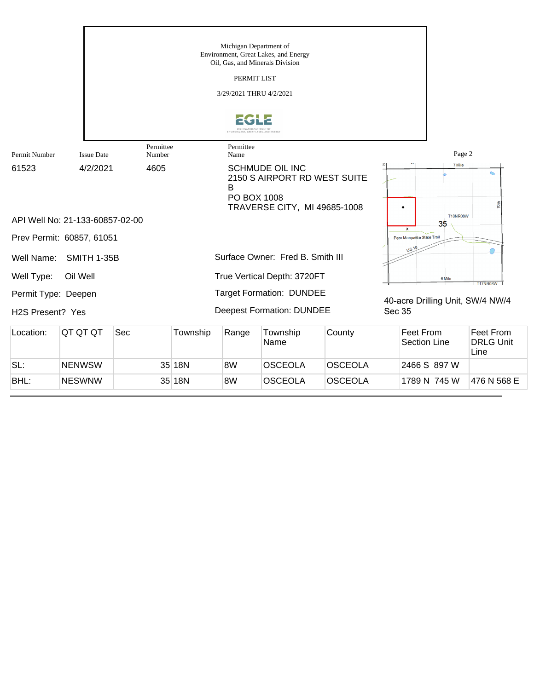|                                                      |                                 |                     |          | Michigan Department of<br>PERMIT LIST<br>3/29/2021 THRU 4/2/2021<br>ENVIRONMENT, GREAT LAKES, AND ENERG' | Environment, Great Lakes, and Energy<br>Oil, Gas, and Minerals Division                |        |                                  |                           |                                       |
|------------------------------------------------------|---------------------------------|---------------------|----------|----------------------------------------------------------------------------------------------------------|----------------------------------------------------------------------------------------|--------|----------------------------------|---------------------------|---------------------------------------|
| Permit Number                                        | <b>Issue Date</b>               | Permittee<br>Number |          | Permittee<br>Name                                                                                        |                                                                                        |        |                                  | Page 2                    |                                       |
| 61523                                                | 4/2/2021                        | 4605                |          | в<br>PO BOX 1008                                                                                         | <b>SCHMUDE OIL INC</b><br>2150 S AIRPORT RD WEST SUITE<br>TRAVERSE CITY, MI 49685-1008 |        |                                  | 7 Mile<br><b>T18NR08W</b> | ∾<br>훙                                |
|                                                      | API Well No: 21-133-60857-02-00 |                     |          |                                                                                                          |                                                                                        |        | x                                | 35                        |                                       |
|                                                      | Prev Permit: 60857, 61051       |                     |          |                                                                                                          |                                                                                        |        | Pere Marquette State Trail       |                           |                                       |
| Well Name:                                           | <b>SMITH 1-35B</b>              |                     |          |                                                                                                          | Surface Owner: Fred B. Smith III                                                       |        | US 10                            |                           |                                       |
| Well Type:                                           | Oil Well                        |                     |          |                                                                                                          | True Vertical Depth: 3720FT                                                            |        |                                  | 6 Mile                    | <b>T17NR08W</b>                       |
| Permit Type: Deepen<br>H <sub>2</sub> S Present? Yes |                                 |                     |          |                                                                                                          | <b>Target Formation: DUNDEE</b><br><b>Deepest Formation: DUNDEE</b>                    |        | Sec 35                           |                           | 40-acre Drilling Unit, SW/4 NW/4      |
| Location:                                            | QT QT QT                        | Sec                 | Township | Range                                                                                                    | Township<br>Name                                                                       | County | Feet From<br><b>Section Line</b> |                           | Feet From<br><b>DRLG Unit</b><br>Line |

SL: NENWSW 35 18N 8W OSCEOLA OSCEOLA 2466 S 897 W

BHL: NESWNW 35 18N 8W OSCEOLA OSCEOLA 1789 N 745 W 476 N 568 E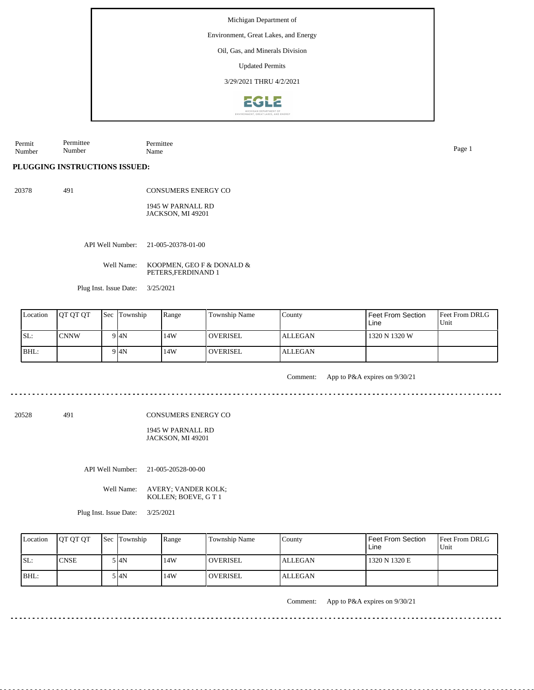Environment, Great Lakes, and Energy

Oil, Gas, and Minerals Division

Updated Permits

3/29/2021 THRU 4/2/2021



Permit Number Permittee Number Permittee Name Page 1

**PLUGGING INSTRUCTIONS ISSUED:**

20378 491

CONSUMERS ENERGY CO 1945 W PARNALL RD JACKSON, MI 49201

API Well Number: 21-005-20378-01-00

Well Name: KOOPMEN, GEO F & DONALD & PETERS,FERDINAND 1

Plug Inst. Issue Date: 3/25/2021

| Location | <b>OT OT OT</b> | <b>Sec</b> Township | Range | Township Name | County         | Feet From Section<br>Line | <b>Feet From DRLG</b><br>Unit |
|----------|-----------------|---------------------|-------|---------------|----------------|---------------------------|-------------------------------|
| SL:      | <b>CNNW</b>     | 9 <sup>4N</sup>     | 14W   | l overisel    | <b>ALLEGAN</b> | 1320 N 1320 W             |                               |
| BHL:     |                 | 9 <sup>4N</sup>     | 14W   | l overisel    | <b>ALLEGAN</b> |                           |                               |

Comment: App to P&A expires on 9/30/21

20528 491

CONSUMERS ENERGY CO

1945 W PARNALL RD JACKSON, MI 49201

API Well Number: 21-005-20528-00-00

Well Name: AVERY; VANDER KOLK; KOLLEN; BOEVE, G T 1

Plug Inst. Issue Date: 3/25/2021

| Location | <b>IOT OT OT</b> | <b>Sec Township</b> | Range | <b>Township Name</b> | County  | Feet From Section<br>Line | <b>Feet From DRLG</b><br>Unit |
|----------|------------------|---------------------|-------|----------------------|---------|---------------------------|-------------------------------|
| SL:      | <b>CNSE</b>      | i I4N               | 14W   | <b>OVERISEL</b>      | ALLEGAN | 1320 N 1320 E             |                               |
| $IBHL$ : |                  | 5 I4N               | 14W   | <b>OVERISEL</b>      | ALLEGAN |                           |                               |

Comment: App to P&A expires on 9/30/21

<u>. . . . . . . . . . . . . . . . .</u>

<u>. . . . . . . .</u>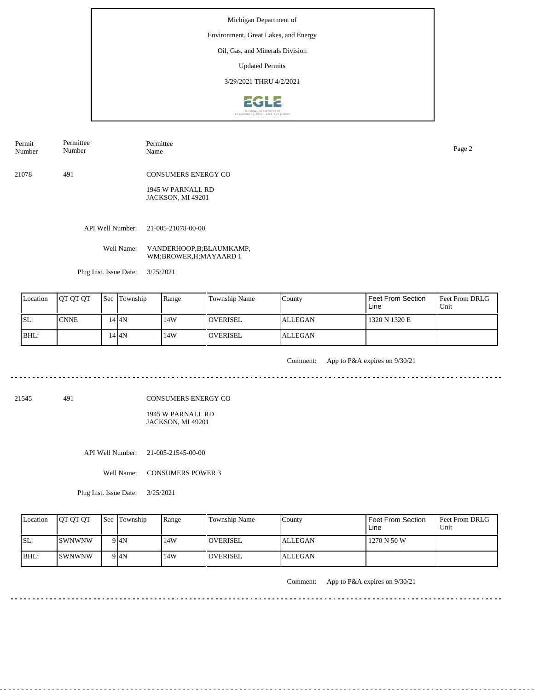#### Environment, Great Lakes, and Energy

Oil, Gas, and Minerals Division

Updated Permits

3/29/2021 THRU 4/2/2021



Permit Number Permittee Number

Permittee Name Page 2

21078 491 CONSUMERS ENERGY CO

> 1945 W PARNALL RD JACKSON, MI 49201

API Well Number: 21-005-21078-00-00

Well Name: VANDERHOOP,B;BLAUMKAMP, WM;BROWER,H;MAYAARD 1

Plug Inst. Issue Date: 3/25/2021

<u>. . . . . . . . .</u>

| Location | <b>IOT OT OT</b> | <b>Sec</b> | Township | Range | Township Name    | County         | <b>Feet From Section</b><br>Line | <b>Feet From DRLG</b><br>Unit |
|----------|------------------|------------|----------|-------|------------------|----------------|----------------------------------|-------------------------------|
| SL:      | <b>CNNE</b>      |            | 44N      | 14W   | <b>LOVERISEL</b> | <b>ALLEGAN</b> | 1320 N 1320 E                    |                               |
| BHL:     |                  |            | .4 I4N   | 14W   | <b>OVERISEL</b>  | <b>ALLEGAN</b> |                                  |                               |

Comment: App to P&A expires on 9/30/21 

21545 491

CONSUMERS ENERGY CO

1945 W PARNALL RD JACKSON, MI 49201

API Well Number: 21-005-21545-00-00

Well Name: CONSUMERS POWER 3

Plug Inst. Issue Date: 3/25/2021

| Location | <b>IOT OT OT</b> | <b>Sec Township</b> | Range | Township Name   | County         | Feet From Section<br>Line | <b>Feet From DRLG</b><br>Unit |
|----------|------------------|---------------------|-------|-----------------|----------------|---------------------------|-------------------------------|
| SL:      | ISWNWNW          | 9 <sup>4N</sup>     | 14W   | <b>OVERISEL</b> | <b>ALLEGAN</b> | 1270 N 50 W               |                               |
| BHL:     | ISWNWNW          | 9 I4N               | 14W   | <b>OVERISEL</b> | <b>ALLEGAN</b> |                           |                               |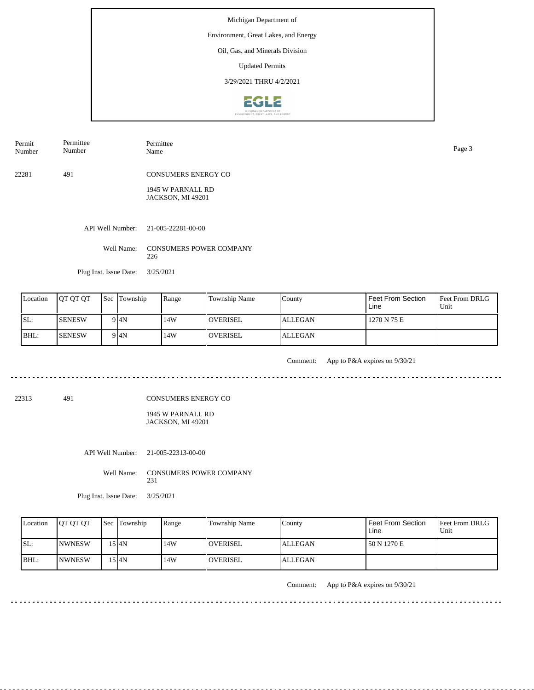#### Environment, Great Lakes, and Energy

Oil, Gas, and Minerals Division

Updated Permits

3/29/2021 THRU 4/2/2021



Permit Number Permittee Number Permittee Name Page 3

22281 491 CONSUMERS ENERGY CO

> 1945 W PARNALL RD JACKSON, MI 49201

API Well Number: 21-005-22281-00-00

Well Name: CONSUMERS POWER COMPANY 226

Plug Inst. Issue Date: 3/25/2021

. . . . . . .

| Location | <b>IOT OT OT</b> | <b>Sec</b> | Township | Range | <b>Township Name</b> | County         | Feet From Section<br>Line | <b>Feet From DRLG</b><br>Unit |
|----------|------------------|------------|----------|-------|----------------------|----------------|---------------------------|-------------------------------|
| SL:      | <b>SENESW</b>    |            | 9I4N     | 14W   | <b>OVERISEL</b>      | <b>ALLEGAN</b> | 1270 N 75 E               |                               |
| BHL:     | <b>SENESW</b>    |            | 9 I4N    | 14W   | <b>OVERISEL</b>      | <b>ALLEGAN</b> |                           |                               |

Comment: App to P&A expires on 9/30/21 

22313 491

CONSUMERS ENERGY CO

1945 W PARNALL RD JACKSON, MI 49201

API Well Number: 21-005-22313-00-00

Well Name: CONSUMERS POWER COMPANY 231

Plug Inst. Issue Date: 3/25/2021

| Location | <b>OT OT OT</b> | <b>Sec Township</b> | Range | Township Name   | County         | <b>Feet From Section</b><br>Line | <b>Feet From DRLG</b><br>Unit |
|----------|-----------------|---------------------|-------|-----------------|----------------|----------------------------------|-------------------------------|
| SL:      | <b>INWNESW</b>  | 5 I4N               | 14W   | <b>OVERISEL</b> | <b>ALLEGAN</b> | 50 N 1270 E                      |                               |
| IBHL:    | <b>INWNESW</b>  | 15 I4N              | 14W   | <b>OVERISEL</b> | ALLEGAN        |                                  |                               |

Comment: App to P&A expires on 9/30/21

 $- - - - - -$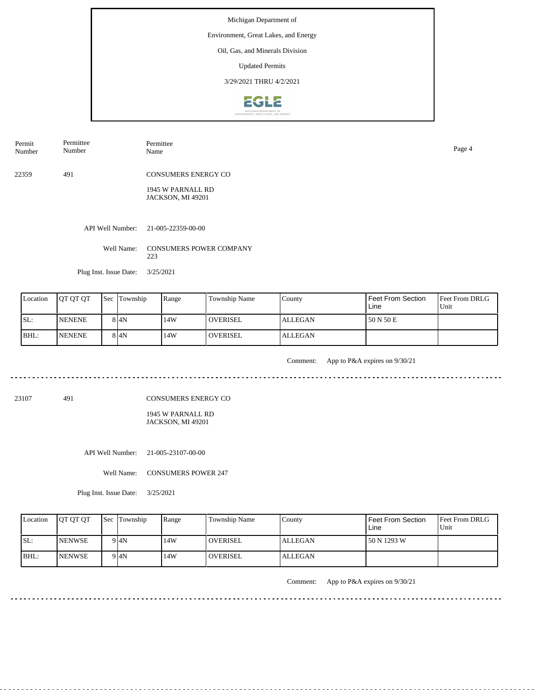#### Environment, Great Lakes, and Energy

Oil, Gas, and Minerals Division

Updated Permits

3/29/2021 THRU 4/2/2021



Permit Number Permittee Number Permittee Name Page 4

22359 491 CONSUMERS ENERGY CO

> 1945 W PARNALL RD JACKSON, MI 49201

API Well Number: 21-005-22359-00-00

Well Name: CONSUMERS POWER COMPANY 223

Plug Inst. Issue Date: 3/25/2021

. . . . . . . .

| Location | <b>IOT OT OT</b> | <b>Sec</b> | Township          | Range | <b>Township Name</b> | County         | Feet From Section<br>Line | <b>Feet From DRLG</b><br>Unit |
|----------|------------------|------------|-------------------|-------|----------------------|----------------|---------------------------|-------------------------------|
| SL:      | <b>NENENE</b>    |            | 8 4N              | 14W   | <b>OVERISEL</b>      | <b>ALLEGAN</b> | 50 N 50 E                 |                               |
| BHL:     | <b>NENENE</b>    |            | 8 <sup>1</sup> 4N | 14W   | <b>OVERISEL</b>      | <b>ALLEGAN</b> |                           |                               |

Comment: App to P&A expires on 9/30/21

23107 491

CONSUMERS ENERGY CO

1945 W PARNALL RD JACKSON, MI 49201

API Well Number: 21-005-23107-00-00

Well Name: CONSUMERS POWER 247

Plug Inst. Issue Date: 3/25/2021

| Location | <b>IOT OT OT</b> | <b>Sec</b> Township | Range | <b>Township Name</b> | County         | <b>Feet From Section</b><br>Line | <b>Feet From DRLG</b><br>Unit |
|----------|------------------|---------------------|-------|----------------------|----------------|----------------------------------|-------------------------------|
| ISL:     | <b>INENWSE</b>   | 9 4N                | 14W   | <b>OVERISEL</b>      | <b>ALLEGAN</b> | 150 N 1293 W                     |                               |
| BHL:     | <b>INENWSE</b>   | 9 4N                | 14W   | <b>OVERISEL</b>      | ALLEGAN        |                                  |                               |

Comment: App to P&A expires on 9/30/21

. . . . . . . . . . . . . . . . . . . .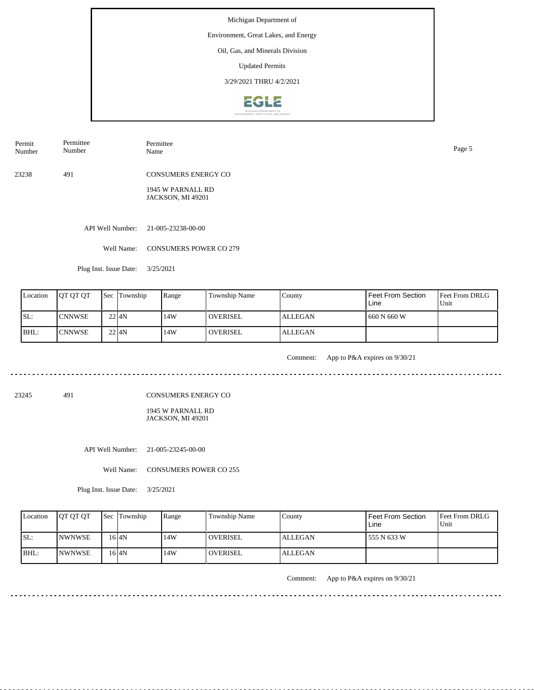#### Environment, Great Lakes, and Energy

Oil, Gas, and Minerals Division

Updated Permits

3/29/2021 THRU 4/2/2021



| Permit<br>Number | Permittee<br>Number | Permittee<br>Name | Page 5 |
|------------------|---------------------|-------------------|--------|
|                  |                     |                   |        |

23238 491 CONSUMERS ENERGY CO

> 1945 W PARNALL RD JACKSON, MI 49201

API Well Number: 21-005-23238-00-00

Well Name: CONSUMERS POWER CO 279

Plug Inst. Issue Date: 3/25/2021

| Location | <b>IOT OT OT</b> | <b>Sec Township</b> | Range | Township Name   | County         | I Feet From Section<br>Line | <b>Feet From DRLG</b><br>l Unit |
|----------|------------------|---------------------|-------|-----------------|----------------|-----------------------------|---------------------------------|
| ISL:     | <b>ICNNWSE</b>   | $22$ $4N$           | 14W   | <b>OVERISEL</b> | <b>ALLEGAN</b> | 660 N 660 W                 |                                 |
| BHL:     | <b>CNNWSE</b>    | $22$ $4N$           | 14W   | <b>OVERISEL</b> | <b>ALLEGAN</b> |                             |                                 |

. . . . . . . . . . . . . .

Comment: App to P&A expires on 9/30/21

23245 491

CONSUMERS ENERGY CO

1945 W PARNALL RD JACKSON, MI 49201

API Well Number: 21-005-23245-00-00

Well Name: CONSUMERS POWER CO 255

Plug Inst. Issue Date: 3/25/2021

| Location | <b>OT OT OT</b> | <b>Sec</b> Township | Range | <b>Township Name</b> | County         | Feet From Section<br>Line | Feet From DRLG<br>Unit |
|----------|-----------------|---------------------|-------|----------------------|----------------|---------------------------|------------------------|
| ISL:     | <b>INWNWSE</b>  | 16 <sub>4N</sub>    | 14W   | <b>OVERISEL</b>      | <b>ALLEGAN</b> | 555 N 633 W               |                        |
| BHL:     | <b>INWNWSE</b>  | 16 I4N              | 14W   | <b>OVERISEL</b>      | <b>ALLEGAN</b> |                           |                        |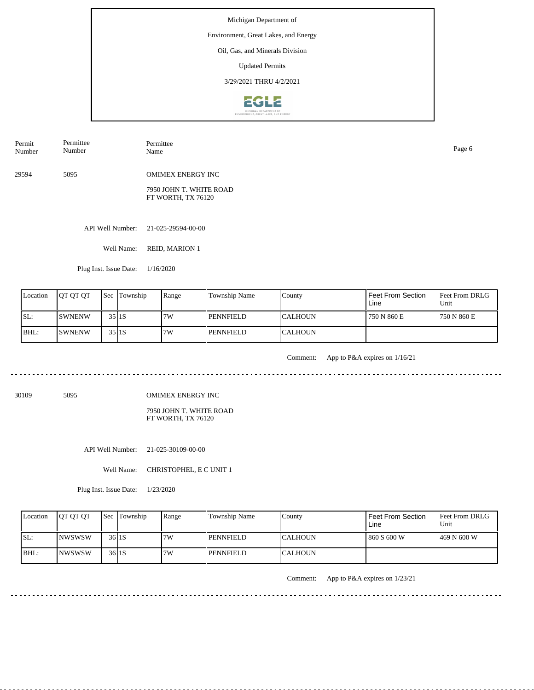#### Environment, Great Lakes, and Energy

Oil, Gas, and Minerals Division

Updated Permits

3/29/2021 THRU 4/2/2021



| Permit<br>Number | Permittee<br>Number | Permittee<br>Name                             | Page 6 |
|------------------|---------------------|-----------------------------------------------|--------|
| 29594            | 5095                | <b>OMIMEX ENERGY INC</b>                      |        |
|                  |                     | 7950 JOHN T. WHITE ROAD<br>FT WORTH, TX 76120 |        |

API Well Number: 21-025-29594-00-00

Well Name: REID, MARION 1

Plug Inst. Issue Date: 1/16/2020

| Location | <b>IOT OT OT</b> |                     | <b>Sec Township</b> | Range | Township Name    | County          | Feet From Section<br>Line | <b>Feet From DRLG</b><br>Unit |
|----------|------------------|---------------------|---------------------|-------|------------------|-----------------|---------------------------|-------------------------------|
| ISL:     | <b>ISWNENW</b>   | 35 I <sub>1</sub> S |                     | 7W    | <b>PENNFIELD</b> | <b>ICALHOUN</b> | 750 N 860 E               | 1750 N 860 E                  |
| BHL:     | <b>SWNENW</b>    | $35$  1S            |                     | 7W    | <b>PENNFIELD</b> | <b>CALHOUN</b>  |                           |                               |

. . . . . . . . . . . . . .

Comment: App to P&A expires on 1/16/21

<u>. . . . . . . .</u>

30109 5095

OMIMEX ENERGY INC

7950 JOHN T. WHITE ROAD FT WORTH, TX 76120

API Well Number: 21-025-30109-00-00

Well Name: CHRISTOPHEL, E C UNIT 1

Plug Inst. Issue Date: 1/23/2020

| Location | <b>OT OT OT</b> | <b>Sec</b> Township | Range | <b>Township Name</b> | County           | Feet From Section<br>Line | Feet From DRLG<br>Unit |
|----------|-----------------|---------------------|-------|----------------------|------------------|---------------------------|------------------------|
| ISL:     | <b>INWSWSW</b>  | 36 <sub>1</sub> 1 5 | 7W    | PENNFIELD            | ICALHOUN         | 1860 S 600 W              | 1469 N 600 W           |
| BHL:     | <b>INWSWSW</b>  | 36 <sub>1</sub> 1 S | 7W    | PENNFIELD            | <b>I</b> CALHOUN |                           |                        |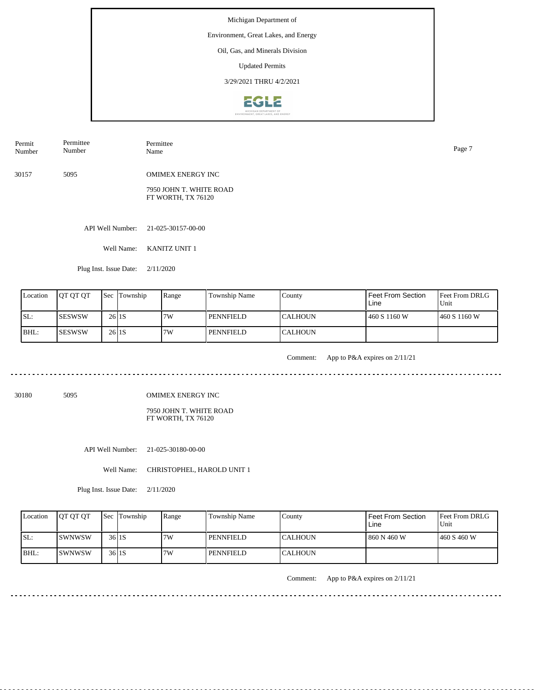#### Environment, Great Lakes, and Energy

Oil, Gas, and Minerals Division

Updated Permits

3/29/2021 THRU 4/2/2021



| Permit<br>Number | Permittee<br>Number | Permittee<br>Name                             | Page 7 |
|------------------|---------------------|-----------------------------------------------|--------|
| 30157            | 5095                | <b>OMIMEX ENERGY INC</b>                      |        |
|                  |                     | 7950 JOHN T. WHITE ROAD<br>FT WORTH, TX 76120 |        |

API Well Number: 21-025-30157-00-00

Well Name: KANITZ UNIT 1

Plug Inst. Issue Date: 2/11/2020

| Location | <b>IOT OT OT</b> |           | <b>Sec</b> Township | Range | <b>Township Name</b> | County         | <b>Feet From Section</b><br>Line | <b>Feet From DRLG</b><br>Unit |
|----------|------------------|-----------|---------------------|-------|----------------------|----------------|----------------------------------|-------------------------------|
| ISL:     | <b>ISESWSW</b>   | $26$  1S  |                     | 7W    | PENNFIELD            | ICALHOUN       | 460 S 1160 W                     | 460 S 1160 W                  |
| BHL:     | <b>ISESWSW</b>   | $26$   1S |                     | 7W    | <b>PENNFIELD</b>     | <b>CALHOUN</b> |                                  |                               |

<u>. . . . . . . . . . . . . .</u>

Comment: App to P&A expires on 2/11/21

<u>. . . . . . . . . . .</u>

 $- - - -$ 

30180 5095

OMIMEX ENERGY INC

7950 JOHN T. WHITE ROAD FT WORTH, TX 76120

API Well Number: 21-025-30180-00-00

Well Name: CHRISTOPHEL, HAROLD UNIT 1

Plug Inst. Issue Date: 2/11/2020

| Location | <b>OT OT OT</b> | <b>Sec</b> Township | Range | Township Name | County    | <b>Feet From Section</b><br>∟ine | <b>Feet From DRLG</b><br>Unit |
|----------|-----------------|---------------------|-------|---------------|-----------|----------------------------------|-------------------------------|
| ISL:     | <b>ISWNWSW</b>  | 36 <sub>1</sub> 1 5 | 7W    | PENNFIELD     | ICALHOUN  | 860 N 460 W                      | 1460 S 460 W                  |
| BHL:     | <b>ISWNWSW</b>  | 36 <sub>1</sub> 1 5 | 7W    | PENNFIELD     | ICALHOUN. |                                  |                               |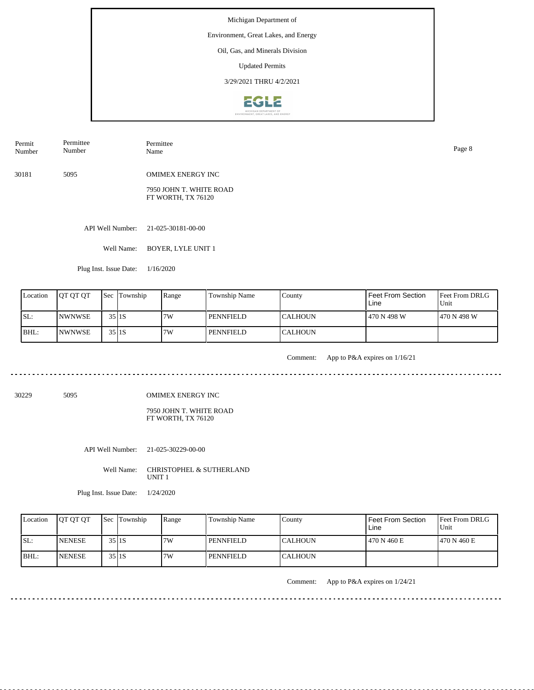#### Environment, Great Lakes, and Energy

Oil, Gas, and Minerals Division

Updated Permits

3/29/2021 THRU 4/2/2021



| Permit<br>Number | Permittee<br>Number | Permittee<br>Name        | Page 8 |
|------------------|---------------------|--------------------------|--------|
| 30181            | 5095                | <b>OMIMEX ENERGY INC</b> |        |
|                  |                     | 7950 JOHN T. WHITE ROAD  |        |

API Well Number: 21-025-30181-00-00

Well Name: BOYER, LYLE UNIT 1

FT WORTH, TX 76120

Plug Inst. Issue Date: 1/16/2020

| Location | <b>OT OT OT</b> |          | <b>Sec</b> Township | Range | <b>Township Name</b> | County          | Feet From Section<br>Line | <b>Feet From DRLG</b><br>Unit |
|----------|-----------------|----------|---------------------|-------|----------------------|-----------------|---------------------------|-------------------------------|
| SL:      | <b>INWNWSE</b>  | 35 I 1 S |                     | 7W    | PENNFIELD            | <b>ICALHOUN</b> | 470 N 498 W               | 1470 N 498 W                  |
| BHL:     | <b>INWNWSE</b>  |          | $35$  1S            | 7W    | <b>PENNFIELD</b>     | <b>ICALHOUN</b> |                           |                               |

<u>. . . . . . . . . . . . . . .</u>

Comment: App to P&A expires on 1/16/21

30229 5095

OMIMEX ENERGY INC

7950 JOHN T. WHITE ROAD FT WORTH, TX 76120

API Well Number: 21-025-30229-00-00

Well Name: CHRISTOPHEL & SUTHERLAND UNIT 1

Plug Inst. Issue Date: 1/24/2020

| Location | <b>IOT OT OT</b> | <b>Sec</b> Township | Range | Township Name    | County           | Feet From Section<br>Line | <b>Feet From DRLG</b><br>Unit |
|----------|------------------|---------------------|-------|------------------|------------------|---------------------------|-------------------------------|
| ISL:     | <b>INENESE</b>   | 35 <sub>I1S</sub>   | 7W    | <b>PENNFIELD</b> | <b>I</b> CALHOUN | 470 N 460 E               | 1470 N 460 E                  |
| BHL:     | <b>INENESE</b>   | 35 I 1 S            | 7W    | <b>PENNFIELD</b> | <b>I</b> CALHOUN |                           |                               |

Comment: App to P&A expires on 1/24/21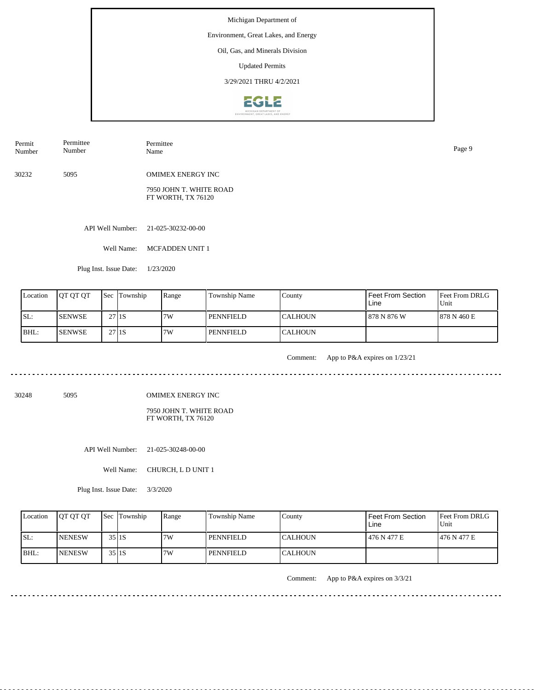#### Environment, Great Lakes, and Energy

Oil, Gas, and Minerals Division

Updated Permits

3/29/2021 THRU 4/2/2021



| Permit<br>Number | Permittee<br>Number | Permittee<br>Name                             | Page 9 |
|------------------|---------------------|-----------------------------------------------|--------|
| 30232            | 5095                | <b>OMIMEX ENERGY INC</b>                      |        |
|                  |                     | 7950 JOHN T. WHITE ROAD<br>FT WORTH, TX 76120 |        |

API Well Number: 21-025-30232-00-00

Well Name: MCFADDEN UNIT 1

Plug Inst. Issue Date: 1/23/2020

| Location | <b>OT OT OT</b> |                   | <b>Sec</b> Township | Range | <b>Township Name</b> | County          | Feet From Section<br>Line | <b>Feet From DRLG</b><br>Unit |
|----------|-----------------|-------------------|---------------------|-------|----------------------|-----------------|---------------------------|-------------------------------|
| SL:      | <b>ISENWSE</b>  | 27 <sub>I1S</sub> |                     | 7W    | PENNFIELD            | <b>ICALHOUN</b> | l 878 N 876 W             | 1878 N 460 E                  |
| BHL:     | <b>SENWSE</b>   | 27 <sub>I1S</sub> |                     | 7W    | <b>PENNFIELD</b>     | <b>ICALHOUN</b> |                           |                               |

. . . . . . . . . . . . . .

Comment: App to P&A expires on 1/23/21

<u>. . . . . . . . . . . . .</u>

30248 5095

OMIMEX ENERGY INC

7950 JOHN T. WHITE ROAD FT WORTH, TX 76120

API Well Number: 21-025-30248-00-00

Well Name: CHURCH, L D UNIT 1

Plug Inst. Issue Date: 3/3/2020

| Location | <b>OT OT OT</b> | <b>Sec</b> Township | Range | Township Name | County    | Feet From Section<br>∟ine | <b>Feet From DRLG</b><br>Unit |
|----------|-----------------|---------------------|-------|---------------|-----------|---------------------------|-------------------------------|
| ISL:     | <b>INENESW</b>  | $35$ Is             | 7W    | PENNFIELD     | ICALHOUN  | 476 N 477 E               | 1476 N 477 E                  |
| BHL:     | <b>INENESW</b>  | 35 <sub>I1S</sub>   | 7W    | PENNFIELD     | ICALHOUN. |                           |                               |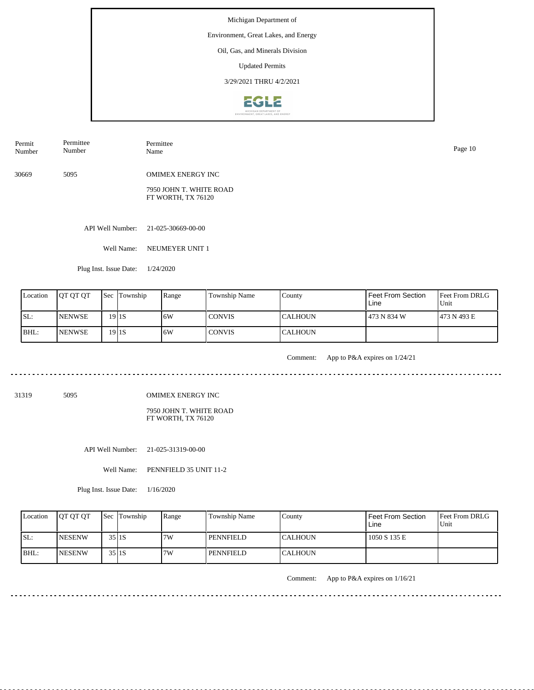#### Environment, Great Lakes, and Energy

Oil, Gas, and Minerals Division

Updated Permits

3/29/2021 THRU 4/2/2021



| Permit<br>Number | Permittee<br>Number | Permittee<br>Name                             | Page 10 |
|------------------|---------------------|-----------------------------------------------|---------|
| 30669            | 5095                | <b>OMIMEX ENERGY INC</b>                      |         |
|                  |                     | 7950 JOHN T. WHITE ROAD<br>FT WORTH, TX 76120 |         |

API Well Number: 21-025-30669-00-00

Well Name: NEUMEYER UNIT 1

Plug Inst. Issue Date: 1/24/2020

| Location | <b>OT OT OT</b> | <b>Sec Township</b> | Range | <b>Township Name</b> | County         | <b>Feet From Section</b><br>Line | <b>Feet From DRLG</b><br>Unit |
|----------|-----------------|---------------------|-------|----------------------|----------------|----------------------------------|-------------------------------|
| ISL:     | <b>INENWSE</b>  | $19$   1S           | 16W   | <b>CONVIS</b>        | ICALHOUN       | 473 N 834 W                      | 1473 N 493 E                  |
| BHL:     | <b>INENWSE</b>  | $19$   1S           | 16W   | <b>CONVIS</b>        | <b>CALHOUN</b> |                                  |                               |

. . . . . . . . . . . . . .

Comment: App to P&A expires on 1/24/21

31319 5095

OMIMEX ENERGY INC

7950 JOHN T. WHITE ROAD FT WORTH, TX 76120

API Well Number: 21-025-31319-00-00

Well Name: PENNFIELD 35 UNIT 11-2

Plug Inst. Issue Date: 1/16/2020

| Location | <b>OT OT OT</b> | <b>Sec</b> Township | Range | <b>Township Name</b> | County           | Feet From Section<br>Line | Feet From DRLG<br>Unit |
|----------|-----------------|---------------------|-------|----------------------|------------------|---------------------------|------------------------|
| ISL:     | <b>INESENW</b>  | 35 I 1 S            | 7W    | PENNFIELD            | ICALHOUN         | 1050 S 135 E              |                        |
| BHL:     | <b>INESENW</b>  | 35 I 1 S            | 7W    | PENNFIELD            | <b>I</b> CALHOUN |                           |                        |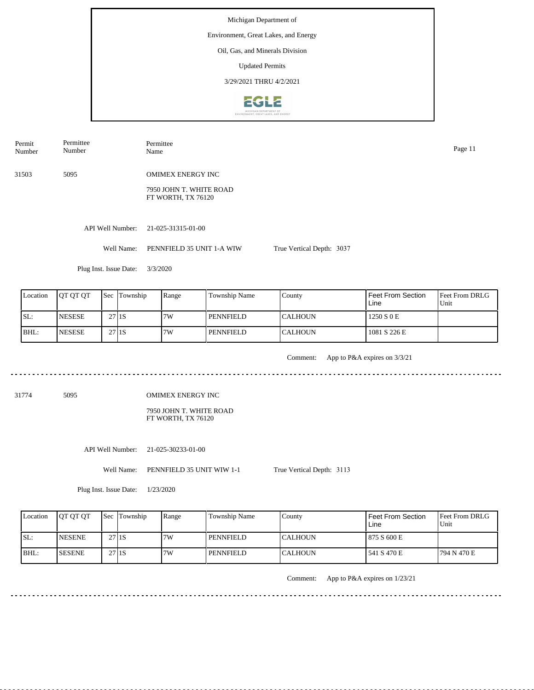Michigan Department of Environment, Great Lakes, and Energy Oil, Gas, and Minerals Division Updated Permits 3/29/2021 THRU 4/2/2021**EGLE** 

| Permit<br>Number | Permittee<br>Number    | Permittee<br>Name                             |                           | Page 11 |
|------------------|------------------------|-----------------------------------------------|---------------------------|---------|
| 31503            | 5095                   | <b>OMIMEX ENERGY INC</b>                      |                           |         |
|                  |                        | 7950 JOHN T. WHITE ROAD<br>FT WORTH, TX 76120 |                           |         |
|                  |                        |                                               |                           |         |
|                  | API Well Number:       | 21-025-31315-01-00                            |                           |         |
|                  | Well Name:             | PENNFIELD 35 UNIT 1-A WIW                     | True Vertical Depth: 3037 |         |
|                  | Plug Inst. Issue Date: | 3/3/2020                                      |                           |         |
|                  |                        |                                               |                           |         |

| Location | <b>OT OT OT</b> | l Sec             | Township | Range | Township Name    | County          | Feet From Section<br>Line | <b>Feet From DRLG</b><br>Unit |
|----------|-----------------|-------------------|----------|-------|------------------|-----------------|---------------------------|-------------------------------|
| SL:      | <b>NESESE</b>   | 27 <sub>I1S</sub> |          | 7W    | <b>PENNFIELD</b> | <b>ICALHOUN</b> | 1250 S 0 E                |                               |
| BHL:     | <b>NESESE</b>   | 27 <sub>I1S</sub> |          | 7W    | <b>PENNFIELD</b> | <b>CALHOUN</b>  | 1081 S 226 E              |                               |

. . . . . . . . . . . . . . .

Comment: App to P&A expires on 3/3/21

31774 5095

OMIMEX ENERGY INC

7950 JOHN T. WHITE ROAD FT WORTH, TX 76120

API Well Number: 21-025-30233-01-00

Well Name: PENNFIELD 35 UNIT WIW 1-1

True Vertical Depth: 3113

Plug Inst. Issue Date: 1/23/2020

| Location | <b>OT OT OT</b> |                   | <b>Sec</b> Township | Range | <b>Township Name</b> | County          | Feet From Section<br>Line | <b>Feet From DRLG</b><br>Unit |
|----------|-----------------|-------------------|---------------------|-------|----------------------|-----------------|---------------------------|-------------------------------|
| SL:      | <b>NESENE</b>   | 27 <sub>I1S</sub> |                     | 7W    | <b>PENNFIELD</b>     | <b>ICALHOUN</b> | 875 S 600 E               |                               |
| BHL:     | <b>SESENE</b>   | 27 <sub>I1S</sub> |                     | 7W    | <b>PENNFIELD</b>     | <b>ICALHOUN</b> | 541 S 470 E               | 1794 N 470 E                  |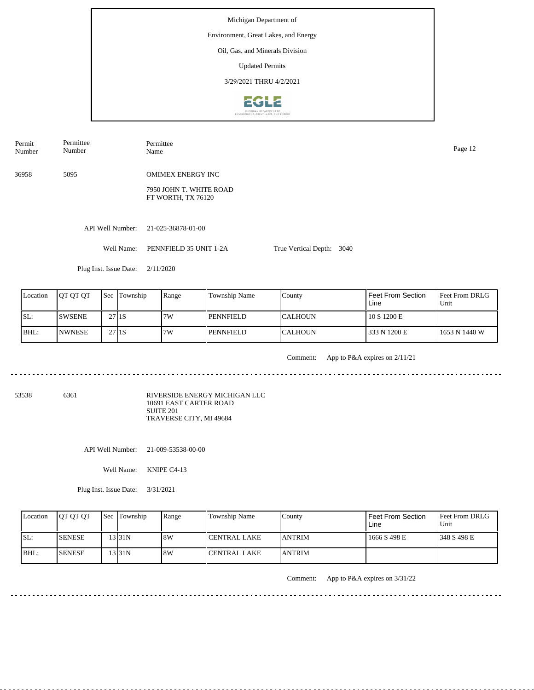Michigan Department of Environment, Great Lakes, and Energy Oil, Gas, and Minerals Division Updated Permits 3/29/2021 THRU 4/2/2021**EGLE** 

| Permit<br>Number | Permittee<br>Number    | Permittee<br>Name                                                         |                           |  |  |  |  |
|------------------|------------------------|---------------------------------------------------------------------------|---------------------------|--|--|--|--|
| 36958            | 5095                   | <b>OMIMEX ENERGY INC</b><br>7950 JOHN T. WHITE ROAD<br>FT WORTH, TX 76120 |                           |  |  |  |  |
|                  | API Well Number:       | 21-025-36878-01-00                                                        |                           |  |  |  |  |
|                  | Well Name:             | PENNFIELD 35 UNIT 1-2A                                                    | True Vertical Depth: 3040 |  |  |  |  |
|                  | Plug Inst. Issue Date: | 2/11/2020                                                                 |                           |  |  |  |  |

| Location | <b>IOT OT OT</b> | l Sec             | Township | Range | Township Name | Countv         | Feet From Section<br>Line | <b>Feet From DRLG</b><br>Unit |
|----------|------------------|-------------------|----------|-------|---------------|----------------|---------------------------|-------------------------------|
| SL:      | <b>SWSENE</b>    | 27 <sub>I1S</sub> |          | 7W    | l pennfield   | ICALHOUN       | 10 S 1200 E               |                               |
| BHL:     | <b>NWNESE</b>    | 27 <sub>I1S</sub> |          | 7W    | l pennfield   | <b>CALHOUN</b> | 333 N 1200 E              | 11653 N 1440 W                |

<u>. . . . . . . . .</u>

Comment: App to P&A expires on 2/11/21

53538 6361

RIVERSIDE ENERGY MICHIGAN LLC 10691 EAST CARTER ROAD SUITE 201 TRAVERSE CITY, MI 49684

API Well Number: 21-009-53538-00-00

Well Name: KNIPE C4-13

Plug Inst. Issue Date: 3/31/2021

|      | Location | <b>IOT OT OT</b> | <b>Sec Township</b> | Range | Township Name       | Countv         | <b>Feet From Section</b><br>Line | <b>Feet From DRLG</b><br>Unit |
|------|----------|------------------|---------------------|-------|---------------------|----------------|----------------------------------|-------------------------------|
| ISL: |          | <b>ISENESE</b>   | 311N                | 8W    | CENTRAL LAKE        | <b>ANTRIM</b>  | 1666 S 498 E                     | 1348 S 498 E                  |
|      | BHL:     | <b>SENESE</b>    | 331N                | 8W    | <b>CENTRAL LAKE</b> | <b>LANTRIM</b> |                                  |                               |

 $- - - - - -$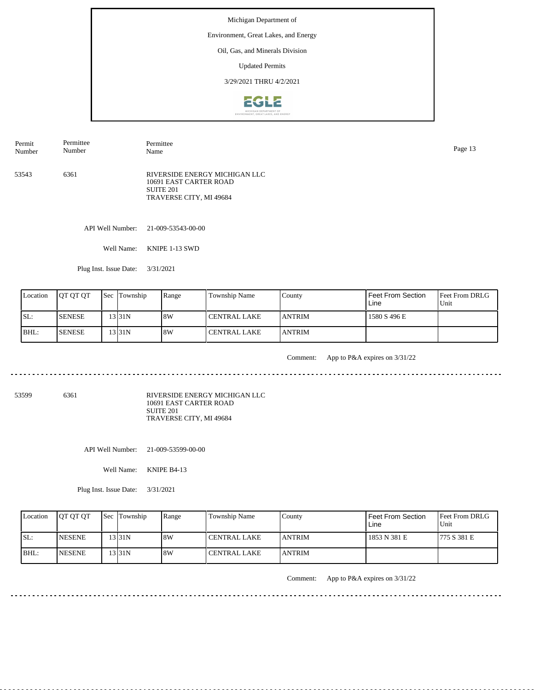#### Environment, Great Lakes, and Energy

Oil, Gas, and Minerals Division

Updated Permits

3/29/2021 THRU 4/2/2021



| Permit<br>Number | Permittee<br>Number | Permittee<br>Name                                                                               | Page 13 |
|------------------|---------------------|-------------------------------------------------------------------------------------------------|---------|
| 53543            | 6361                | RIVERSIDE ENERGY MICHIGAN LLC<br>10691 EAST CARTER ROAD<br>SUITE 201<br>TRAVERSE CITY, MI 49684 |         |

API Well Number: 21-009-53543-00-00

Well Name: KNIPE 1-13 SWD

Plug Inst. Issue Date: 3/31/2021

| Location | <b>OT OT OT</b> | <b>Sec Township</b> | Range | Township Name  | County         | Feet From Section<br>Line | <b>Feet From DRLG</b><br>l Unit |
|----------|-----------------|---------------------|-------|----------------|----------------|---------------------------|---------------------------------|
| SL:      | <b>SENESE</b>   | 331N                | 18W   | l CENTRAL LAKE | <b>LANTRIM</b> | 1580 S 496 E              |                                 |
| BHL:     | <b>SENESE</b>   | 13131N              | 18W   | l CENTRAL LAKE | <b>JANTRIM</b> |                           |                                 |

. . . . . . . . .

Comment: App to P&A expires on 3/31/22

53599 6361

RIVERSIDE ENERGY MICHIGAN LLC 10691 EAST CARTER ROAD SUITE 201 TRAVERSE CITY, MI 49684

API Well Number: 21-009-53599-00-00

Well Name: KNIPE B4-13

Plug Inst. Issue Date: 3/31/2021

| Location | <b>OT OT OT</b> | <b>Sec</b> Township | Range | <b>Township Name</b> | County         | Feet From Section<br>Line | <b>Feet From DRLG</b><br>Unit |
|----------|-----------------|---------------------|-------|----------------------|----------------|---------------------------|-------------------------------|
| ISL:     | <b>INESENE</b>  | 13 I 31 N           | 8W    | <b>CENTRAL LAKE</b>  | <b>JANTRIM</b> | 1853 N 381 E              | 1775 S 381 E                  |
| BHL:     | <b>INESENE</b>  | 13 I 31 N           | 8W    | <b>CENTRAL LAKE</b>  | <b>JANTRIM</b> |                           |                               |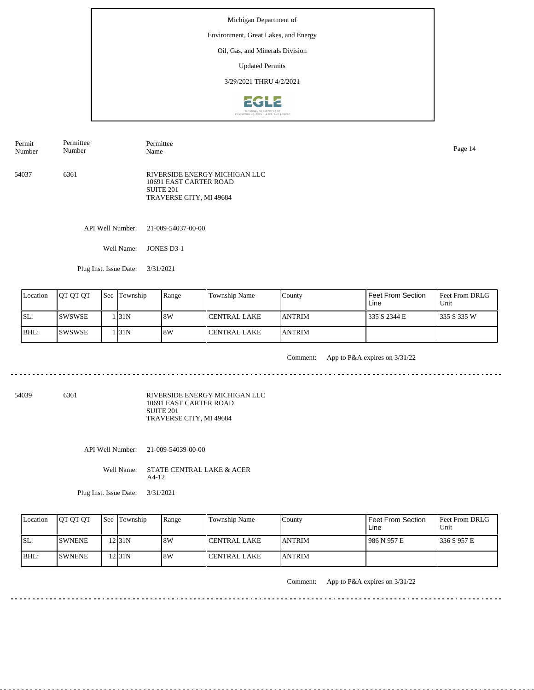#### Environment, Great Lakes, and Energy

Oil, Gas, and Minerals Division

Updated Permits

3/29/2021 THRU 4/2/2021



| Permit<br>Number | Permittee<br>Number | Permittee<br>Name                                                                               | Page 14 |
|------------------|---------------------|-------------------------------------------------------------------------------------------------|---------|
| 54037            | 6361                | RIVERSIDE ENERGY MICHIGAN LLC<br>10691 EAST CARTER ROAD<br>SUITE 201<br>TRAVERSE CITY, MI 49684 |         |

API Well Number: 21-009-54037-00-00

Well Name: JONES D3-1

Plug Inst. Issue Date: 3/31/2021

| Location | <b>IOT OT OT</b> | <b>Sec Township</b> | Range | Township Name  | County         | Feet From Section<br>Line | <b>Feet From DRLG</b><br>l Unit |
|----------|------------------|---------------------|-------|----------------|----------------|---------------------------|---------------------------------|
| ISL:     | ISWSWSE          | 1 I31 N             | 18W   | l CENTRAL LAKE | <b>LANTRIM</b> | 335 S 2344 E              | 1335 S 335 W                    |
| BHL:     | ISWSWSE          | 1 I31 N             | 18W   | l CENTRAL LAKE | <b>JANTRIM</b> |                           |                                 |

<u>. . . . . . . . . .</u>

Comment: App to P&A expires on 3/31/22

54039 6361

RIVERSIDE ENERGY MICHIGAN LLC 10691 EAST CARTER ROAD SUITE 201 TRAVERSE CITY, MI 49684

API Well Number: 21-009-54039-00-00

Well Name: STATE CENTRAL LAKE & ACER A4-12

Plug Inst. Issue Date: 3/31/2021

| Location | <b>IOT OT OT</b> | <b>Sec</b> Township | Range | Township Name  | County         | Feet From Section<br>Line | <b>Feet From DRLG</b><br>Unit |
|----------|------------------|---------------------|-------|----------------|----------------|---------------------------|-------------------------------|
| ISL:     | <b>ISWNENE</b>   | 2131N               | 8W    | l CENTRAL LAKE | <b>LANTRIM</b> | 1986 N 957 E              | 1336 S 957 E                  |
| BHL:     | <b>ISWNENE</b>   | 2 $ 31N$            | 8W    | l CENTRAL LAKE | <b>LANTRIM</b> |                           |                               |

Comment: App to P&A expires on 3/31/22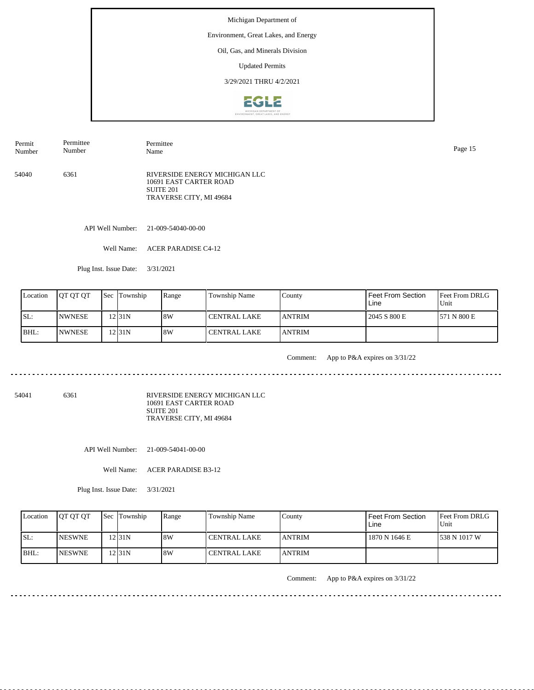#### Environment, Great Lakes, and Energy

Oil, Gas, and Minerals Division

Updated Permits

3/29/2021 THRU 4/2/2021



Permit Number Permittee Number Permittee Name Page 15

54040 6361 RIVERSIDE ENERGY MICHIGAN LLC 10691 EAST CARTER ROAD SUITE 201 TRAVERSE CITY, MI 49684

API Well Number: 21-009-54040-00-00

Well Name: ACER PARADISE C4-12

Plug Inst. Issue Date: 3/31/2021

| Location | <b>IOT OT OT</b> | <b>Sec Township</b> | Range | Township Name  | County         | <sup>I</sup> Feet From Section<br>Line | <b>Feet From DRLG</b><br>l Unit |
|----------|------------------|---------------------|-------|----------------|----------------|----------------------------------------|---------------------------------|
| ISL:     | <b>INWNESE</b>   | $2$ 31N             | 8W    | I CENTRAL LAKE | <b>LANTRIM</b> | 2045 S 800 E                           | 1571 N 800 E                    |
| BHL:     | <b>INWNESE</b>   | $2$ 31N             | 18W   | l CENTRAL LAKE | <b>JANTRIM</b> |                                        |                                 |

<u>. . . . . . . . .</u>

Comment: App to P&A expires on 3/31/22

. . . . . . . . . . .

54041 6361

RIVERSIDE ENERGY MICHIGAN LLC 10691 EAST CARTER ROAD SUITE 201 TRAVERSE CITY, MI 49684

API Well Number: 21-009-54041-00-00

Well Name: ACER PARADISE B3-12

Plug Inst. Issue Date: 3/31/2021

| Location | <b>OT OT OT</b> | <b>Sec</b> Township | Range | <b>Township Name</b> | Countv         | <b>Feet From Section</b><br>Line | <b>Feet From DRLG</b><br>Unit |
|----------|-----------------|---------------------|-------|----------------------|----------------|----------------------------------|-------------------------------|
| ISL:     | <b>INESWNE</b>  | 12 31 N             | 8W    | <b>CENTRAL LAKE</b>  | <b>LANTRIM</b> | 1870 N 1646 E                    | 1538 N 1017 W                 |
| BHL:     | <b>INESWNE</b>  | 12 I 31 N           | 8W    | CENTRAL LAKE         | <b>LANTRIM</b> |                                  |                               |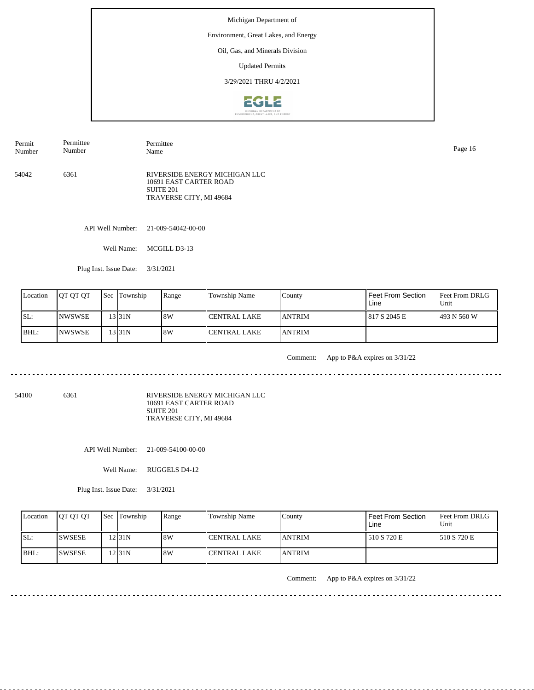#### Environment, Great Lakes, and Energy

Oil, Gas, and Minerals Division

Updated Permits

3/29/2021 THRU 4/2/2021



54042 6361 RIVERSIDE ENERGY MICHIGAN LLC 10691 EAST CARTER ROAD SUITE 201 TRAVERSE CITY, MI 49684 Permit Number Permittee Number Permittee Name Page 16

API Well Number: 21-009-54042-00-00

Well Name: MCGILL D3-13

Plug Inst. Issue Date: 3/31/2021

| Location | <b>OT OT OT</b> | <b>Sec Township</b> | Range | Township Name  | County         | Feet From Section<br>Line | Feet From DRLG<br>Unit |
|----------|-----------------|---------------------|-------|----------------|----------------|---------------------------|------------------------|
| SL:      | <b>INWSWSE</b>  | 131N                | 8W    | I CENTRAL LAKE | <b>JANTRIM</b> | 817 S 2045 E              | 1493 N 560 W           |
| BHL:     | <b>INWSWSE</b>  | 13 31 N             | 8W    | l CENTRAL LAKE | <b>ANTRIM</b>  |                           |                        |

<u>. . . . . . . .</u>

Comment: App to P&A expires on 3/31/22

. . . . . . . . . . .

54100 6361

RIVERSIDE ENERGY MICHIGAN LLC 10691 EAST CARTER ROAD SUITE 201 TRAVERSE CITY, MI 49684

API Well Number: 21-009-54100-00-00

Well Name: RUGGELS D4-12

Plug Inst. Issue Date: 3/31/2021

| Location | <b>IOT OT OT</b> | <b>Sec Township</b> | Range | <b>Township Name</b> | County         | Feet From Section<br>Line | <b>Feet From DRLG</b><br>Unit |
|----------|------------------|---------------------|-------|----------------------|----------------|---------------------------|-------------------------------|
| ISL:     | <b>SWSESE</b>    | 12 <sub>31N</sub>   | 8W    | l CENTRAL LAKE       | <b>LANTRIM</b> | 1510 S 720 E              | 1510 S 720 E                  |
| BHL:     | <b>ISWSESE</b>   | 12 I 31 N           | 8W    | I CENTRAL LAKE       | <b>LANTRIM</b> |                           |                               |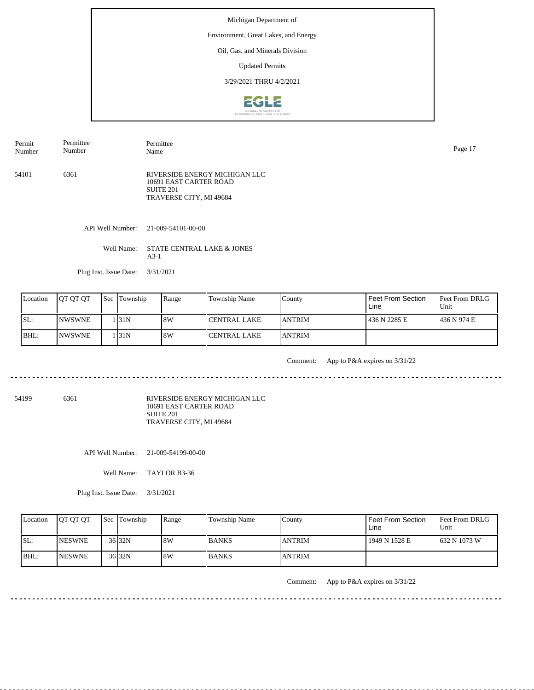# Environment, Great Lakes, and Energy

Oil, Gas, and Minerals Division

Updated Permits

3/29/2021 THRU 4/2/2021



54101 6361 RIVERSIDE ENERGY MICHIGAN LLC 10691 EAST CARTER ROAD SUITE 201 TRAVERSE CITY, MI 49684 Permit Number Permittee Number Permittee Name Page 17

API Well Number: 21-009-54101-00-00

Well Name: STATE CENTRAL LAKE & JONES A3-1

Plug Inst. Issue Date: 3/31/2021

<u>. . . . . . . . . .</u>

| Location | <b>IOT OT OT</b> | 'Sec | Township | Range | Township Name         | County         | <b>Feet From Section</b><br>Line | <b>Feet From DRLG</b><br>Unit |
|----------|------------------|------|----------|-------|-----------------------|----------------|----------------------------------|-------------------------------|
| SL:      | <b>INWSWNE</b>   |      | 131N     | 8W    | <b>I CENTRAL LAKE</b> | <b>LANTRIM</b> | 436 N 2285 E                     | 1436 N 974 E                  |
| BHL:     | <b>INWSWNE</b>   |      | 131N     | 8W    | <b>I CENTRAL LAKE</b> | <b>LANTRIM</b> |                                  |                               |

Comment: App to P&A expires on 3/31/22

54199 6361

RIVERSIDE ENERGY MICHIGAN LLC 10691 EAST CARTER ROAD SUITE 201 TRAVERSE CITY, MI 49684

API Well Number: 21-009-54199-00-00

Well Name: TAYLOR B3-36

Plug Inst. Issue Date: 3/31/2021

| Location | <b>OT OT OT</b> | <b>Sec</b> Township | Range | <b>Township Name</b> | Countv        | <b>Feet From Section</b><br>Line | <b>Feet From DRLG</b><br>Unit |
|----------|-----------------|---------------------|-------|----------------------|---------------|----------------------------------|-------------------------------|
| ISL:     | <b>INESWNE</b>  | $36$ 32N            | 8W    | <b>BANKS</b>         | <b>ANTRIM</b> | 1949 N 1528 E                    | 1632 N 1073 W                 |
| BHL:     | <b>INESWNE</b>  | $36$ 32N            | 8W    | <b>BANKS</b>         | <b>ANTRIM</b> |                                  |                               |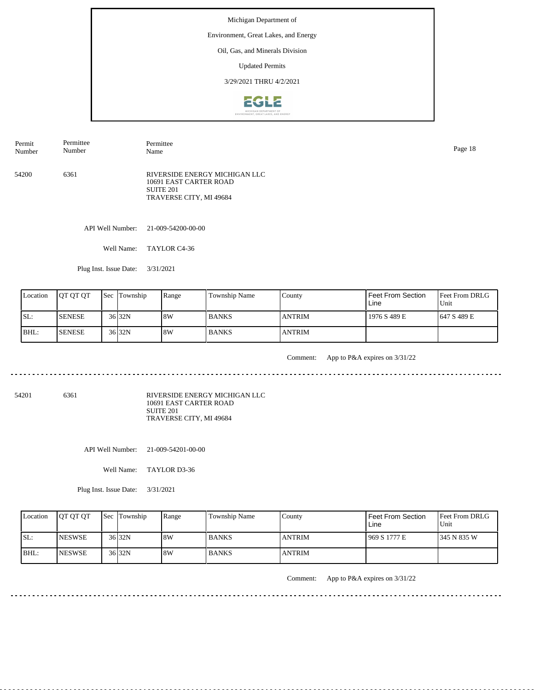#### Environment, Great Lakes, and Energy

Oil, Gas, and Minerals Division

Updated Permits

3/29/2021 THRU 4/2/2021



54200 6361 RIVERSIDE ENERGY MICHIGAN LLC 10691 EAST CARTER ROAD SUITE 201 TRAVERSE CITY, MI 49684 Permit Number Permittee Number Permittee Name Page 18

API Well Number: 21-009-54200-00-00

Well Name: TAYLOR C4-36

Plug Inst. Issue Date: 3/31/2021

| Location | <b>IOT OT OT</b> | <b>Sec</b> Township | Range | Township Name | County         | <b>Feet From Section</b><br>Line | Feet From DRLG<br>Unit |
|----------|------------------|---------------------|-------|---------------|----------------|----------------------------------|------------------------|
| ISL:     | <b>ISENESE</b>   | 36 32N              | 18W   | <b>BANKS</b>  | <b>ANTRIM</b>  | 1976 S 489 E                     | 1647 S 489 E           |
| BHL:     | <b>ISENESE</b>   | $36$ 32N            | 18W   | <b>BANKS</b>  | <b>LANTRIM</b> |                                  |                        |

<u>. . . . . . . . .</u>

Comment: App to P&A expires on 3/31/22

<u>. . . . . . . .</u>

54201 6361

RIVERSIDE ENERGY MICHIGAN LLC 10691 EAST CARTER ROAD SUITE 201 TRAVERSE CITY, MI 49684

API Well Number: 21-009-54201-00-00

Well Name: TAYLOR D3-36

Plug Inst. Issue Date: 3/31/2021

| Location | <b>IOT OT OT</b> | <b>Sec Township</b> | Range | <b>Township Name</b> | County        | <b>Feet From Section</b><br>Line | <b>Feet From DRLG</b><br>Unit |
|----------|------------------|---------------------|-------|----------------------|---------------|----------------------------------|-------------------------------|
| SL:      | <b>INESWSE</b>   | 36 32N              | 8W    | <b>BANKS</b>         | <b>ANTRIM</b> | 969 S 1777 E                     | 1345 N 835 W                  |
| IBHL:    | <b>INESWSE</b>   | 36 32N              | 8W    | <b>BANKS</b>         | <b>ANTRIM</b> |                                  |                               |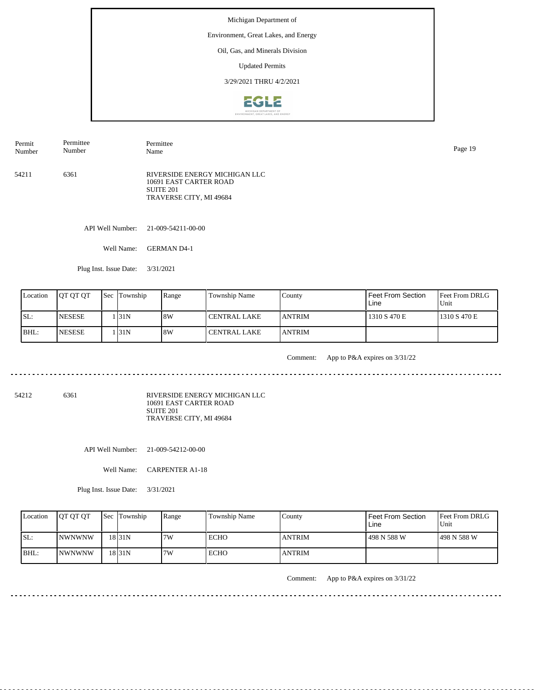#### Environment, Great Lakes, and Energy

Oil, Gas, and Minerals Division

Updated Permits

3/29/2021 THRU 4/2/2021



| Permit<br>Number | Permittee<br>Number | Permittee<br>Name                                                                               | Page 19 |
|------------------|---------------------|-------------------------------------------------------------------------------------------------|---------|
| 54211            | 6361                | RIVERSIDE ENERGY MICHIGAN LLC<br>10691 EAST CARTER ROAD<br>SUITE 201<br>TRAVERSE CITY, MI 49684 |         |

API Well Number: 21-009-54211-00-00

Well Name: GERMAN D4-1

Plug Inst. Issue Date: 3/31/2021

| Location | <b>IOT OT OT</b> | <b>Sec Township</b> | Range | Township Name  | County         | Feet From Section<br>Line | <b>Feet From DRLG</b><br>l Unit |
|----------|------------------|---------------------|-------|----------------|----------------|---------------------------|---------------------------------|
| ISL:     | <b>NESESE</b>    | 1 I31N              | 18W   | l CENTRAL LAKE | <b>LANTRIM</b> | 1310 S 470 E              | 1310 S 470 E                    |
| BHL:     | <b>NESESE</b>    | 1 I31 N             | 18W   | l CENTRAL LAKE | <b>JANTRIM</b> |                           |                                 |

<u>. . . . . . . . . .</u>

Comment: App to P&A expires on 3/31/22

54212 6361

RIVERSIDE ENERGY MICHIGAN LLC 10691 EAST CARTER ROAD SUITE 201 TRAVERSE CITY, MI 49684

API Well Number: 21-009-54212-00-00

Well Name: CARPENTER A1-18

Plug Inst. Issue Date: 3/31/2021

| Location | <b>OT OT OT</b> | <b>Sec</b> Township | Range | Township Name | County        | Feet From Section<br>∟ine | <b>Feet From DRLG</b><br>Unit |
|----------|-----------------|---------------------|-------|---------------|---------------|---------------------------|-------------------------------|
| SL:      | INWNWNW         | 18 <sub>31N</sub>   | 7W    | <b>ECHO</b>   | <b>ANTRIM</b> | 498 N 588 W               | 1498 N 588 W                  |
| IBHL:    | <b>INWNWNW</b>  | 18 <sub>31</sub> N  | 7W    | <b>ECHO</b>   | <b>ANTRIM</b> |                           |                               |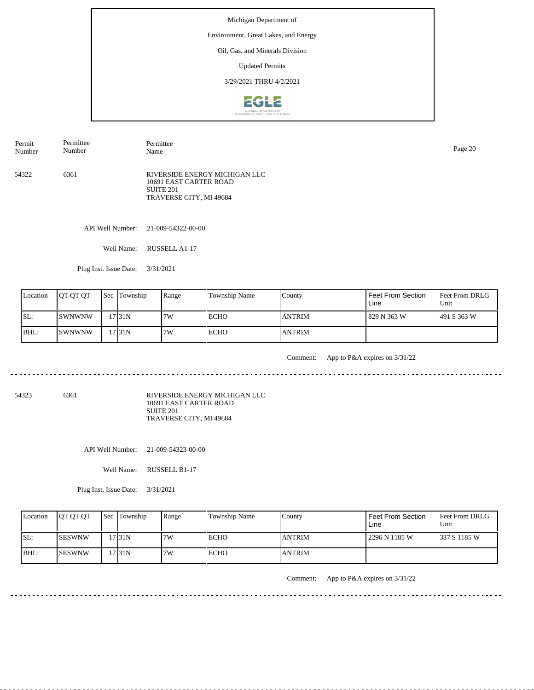#### Environment, Great Lakes, and Energy

Oil, Gas, and Minerals Division

Updated Permits

3/29/2021 THRU 4/2/2021



54322 6361 RIVERSIDE ENERGY MICHIGAN LLC 10691 EAST CARTER ROAD SUITE 201 TRAVERSE CITY, MI 49684 Permit Number Permittee Number Permittee Name Page 20

API Well Number: 21-009-54322-00-00

Well Name: RUSSELL A1-17

Plug Inst. Issue Date: 3/31/2021

| Location | <b>OT OT OT</b> | <b>Sec Township</b> | Range | Township Name | County        | Feet From Section<br>Line | Feet From DRLG<br>Unit |
|----------|-----------------|---------------------|-------|---------------|---------------|---------------------------|------------------------|
| SL:      | ISWNWNW         | 17131N              | 7W    | <b>ECHO</b>   | <b>ANTRIM</b> | 829 N 363 W               | 1491 S 363 W           |
| BHL:     | ISWNWNW         | 17 <sub>31N</sub>   | 7W    | <b>ECHO</b>   | <b>ANTRIM</b> |                           |                        |

<u>. . . . . . . .</u>

Comment: App to P&A expires on 3/31/22

54323 6361

RIVERSIDE ENERGY MICHIGAN LLC 10691 EAST CARTER ROAD SUITE 201 TRAVERSE CITY, MI 49684

API Well Number: 21-009-54323-00-00

Well Name: RUSSELL B1-17

Plug Inst. Issue Date: 3/31/2021

| Location | <b>OT OT OT</b> | <b>Sec</b> Township | Range | <b>Township Name</b> | Countv        | <b>Feet From Section</b><br>Line | <b>Feet From DRLG</b><br>Unit |
|----------|-----------------|---------------------|-------|----------------------|---------------|----------------------------------|-------------------------------|
| ISL:     | <b>ISESWNW</b>  | 17 31 N             | 7W    | ECHO                 | <b>ANTRIM</b> | l 2296 N 1185 W                  | 1337 S 1185 W                 |
| BHL:     | <b>ISESWNW</b>  | '7131N              | 7W    | <b>ECHO</b>          | <b>ANTRIM</b> |                                  |                               |

Comment: App to P&A expires on 3/31/22

. . . . . . . . . . .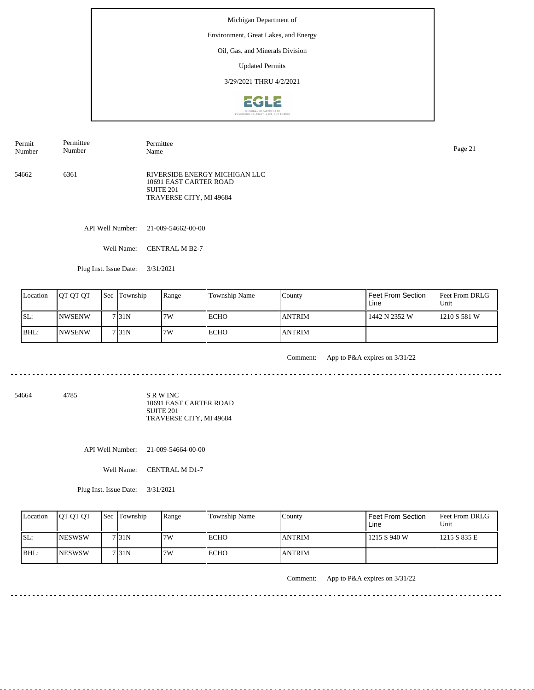#### Environment, Great Lakes, and Energy

Oil, Gas, and Minerals Division

Updated Permits

3/29/2021 THRU 4/2/2021



Permit Number Permittee Number

54662 6361 RIVERSIDE ENERGY MICHIGAN LLC 10691 EAST CARTER ROAD SUITE 201 TRAVERSE CITY, MI 49684

API Well Number: 21-009-54662-00-00

Well Name: CENTRAL M B2-7

Permittee

Plug Inst. Issue Date: 3/31/2021

| Location | <b>IOT OT OT</b> | <b>Sec Township</b> | Range | Township Name | County         | Feet From Section<br>Line | <b>Feet From DRLG</b><br>Unit |
|----------|------------------|---------------------|-------|---------------|----------------|---------------------------|-------------------------------|
| ISL:     | <b>INWSENW</b>   | 7131N               | 7W    | l ECHO        | <b>ANTRIM</b>  | 1442 N 2352 W             | 1210 S 581 W                  |
| BHL:     | INWSENW          | 7 <sub>131</sub> N  | 7W    | <b>ECHO</b>   | <b>LANTRIM</b> |                           |                               |

<u>. . . . . . . . .</u>

Comment: App to P&A expires on 3/31/22

54664 4785

S R W INC 10691 EAST CARTER ROAD SUITE 201 TRAVERSE CITY, MI 49684

API Well Number: 21-009-54664-00-00

Well Name: CENTRAL M D1-7

Plug Inst. Issue Date: 3/31/2021

| Location | <b>OT OT OT</b> | <b>Sec Township</b> | Range | <b>Township Name</b> | Countv        | <b>Feet From Section</b><br>Line | <b>Feet From DRLG</b><br>Unit |
|----------|-----------------|---------------------|-------|----------------------|---------------|----------------------------------|-------------------------------|
| SL:      | <b>INESWSW</b>  | 7131N               | 7W    | ECHO                 | <b>ANTRIM</b> | 1215 S 940 W                     | 1215 S 835 E                  |
| BHL:     | <b>INESWSW</b>  | 7131N               | 7W    | <b>ECHO</b>          | <b>ANTRIM</b> |                                  |                               |

Comment: App to P&A expires on 3/31/22

Name Page 21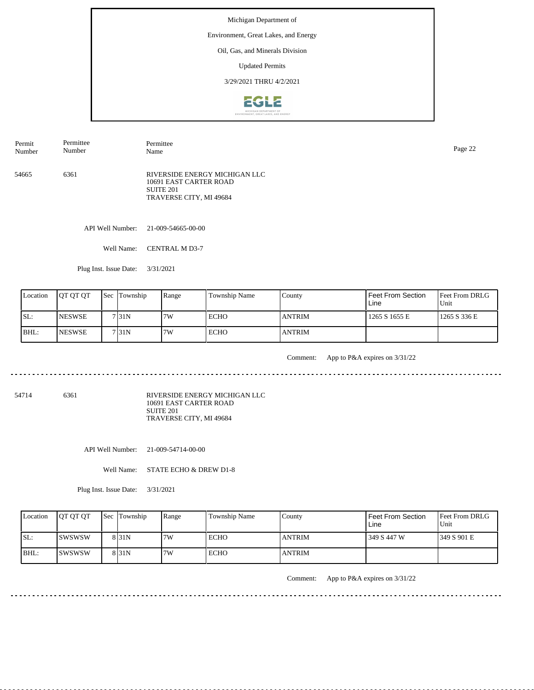#### Environment, Great Lakes, and Energy

Oil, Gas, and Minerals Division

Updated Permits

3/29/2021 THRU 4/2/2021



54665 6361 RIVERSIDE ENERGY MICHIGAN LLC 10691 EAST CARTER ROAD SUITE 201 TRAVERSE CITY, MI 49684 Permit Number Permittee Number Permittee Page 22<br>Name Page 22

API Well Number: 21-009-54665-00-00

Well Name: CENTRAL M D3-7

Plug Inst. Issue Date: 3/31/2021

| Location | <b>IOT OT OT</b> | <b>Sec Township</b> | Range | Township Name | County         | I Feet From Section<br>Line | <b>Feet From DRLG</b><br>l Unit |
|----------|------------------|---------------------|-------|---------------|----------------|-----------------------------|---------------------------------|
| ISL:     | <b>INESWSE</b>   | 7131N               | 7W    | ECHO          | <b>ANTRIM</b>  | 1265 S 1655 E               | 1265 S 336 E                    |
| BHL:     | <b>NESWSE</b>    | 7 31 N              | 7W    | <b>ECHO</b>   | <b>LANTRIM</b> |                             |                                 |

<u>. . . . . . . . .</u>

Comment: App to P&A expires on 3/31/22

. . . . . . . . . . .

54714 6361

RIVERSIDE ENERGY MICHIGAN LLC 10691 EAST CARTER ROAD SUITE 201 TRAVERSE CITY, MI 49684

API Well Number: 21-009-54714-00-00

Well Name: STATE ECHO & DREW D1-8

Plug Inst. Issue Date: 3/31/2021

| Location | <b>IOT OT OT</b> | <b>Sec Township</b> | Range | <b>Township Name</b> | County        | <b>Feet From Section</b><br>Line | <b>Feet From DRLG</b><br>Unit |
|----------|------------------|---------------------|-------|----------------------|---------------|----------------------------------|-------------------------------|
| ISL:     | Iswswsw          | 8 <sub>31N</sub>    | 7W    | ECHO                 | <b>ANTRIM</b> | 349 S 447 W                      | 1349 S 901 E                  |
| IBHL:    | Iswswsw          | 8 <sub>31N</sub>    | 7W    | <b>ECHO</b>          | <b>ANTRIM</b> |                                  |                               |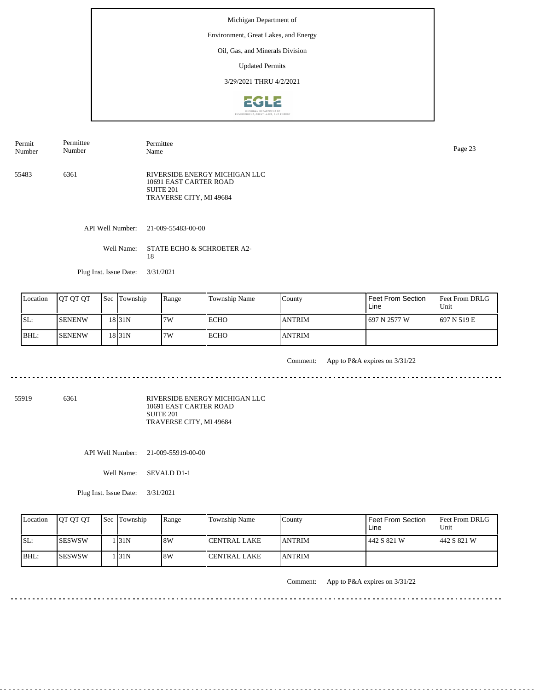# Environment, Great Lakes, and Energy

Oil, Gas, and Minerals Division

Updated Permits

3/29/2021 THRU 4/2/2021



55483 6361 RIVERSIDE ENERGY MICHIGAN LLC 10691 EAST CARTER ROAD SUITE 201 TRAVERSE CITY, MI 49684 Permit Number Permittee Number Permittee Page 23<br>Name Page 23

API Well Number: 21-009-55483-00-00

18

Well Name: STATE ECHO & SCHROETER A2-

Plug Inst. Issue Date: 3/31/2021

<u>. . . . . . . .</u>

| Location | <b>OT OT OT</b> | <b>Sec</b> | Township  | Range | Township Name | County        | <b>Feet From Section</b><br>Line | <b>Feet From DRLG</b><br>Unit |
|----------|-----------------|------------|-----------|-------|---------------|---------------|----------------------------------|-------------------------------|
| SL:      | <b>SENENW</b>   |            | 18 I 31 N | 7W    | ECHO          | <b>ANTRIM</b> | 697 N 2577 W                     | 1697 N 519 E                  |
| BHL:     | <b>SENENW</b>   |            | 18 31 N   | 7W    | <b>ECHO</b>   | <b>ANTRIM</b> |                                  |                               |

Comment: App to P&A expires on 3/31/22

<u>. . . . . . . . .</u>

55919 6361

RIVERSIDE ENERGY MICHIGAN LLC 10691 EAST CARTER ROAD SUITE 201 TRAVERSE CITY, MI 49684

API Well Number: 21-009-55919-00-00

Well Name: SEVALD D1-1

Plug Inst. Issue Date: 3/31/2021

| Location | <b>IOT OT OT</b> | <b>Sec Township</b> | Range | Township Name       | County         | Feet From Section<br>Line | <b>Feet From DRLG</b><br>Unit |
|----------|------------------|---------------------|-------|---------------------|----------------|---------------------------|-------------------------------|
| SL:      | <b>ISESWSW</b>   | 131N                | 8W    | CENTRAL LAKE        | <b>LANTRIM</b> | 442 S 821 W               | 1442 S 821 W                  |
| IBHL:    | <b>ISESWSW</b>   | 131N                | 8W    | <b>CENTRAL LAKE</b> | <b>LANTRIM</b> |                           |                               |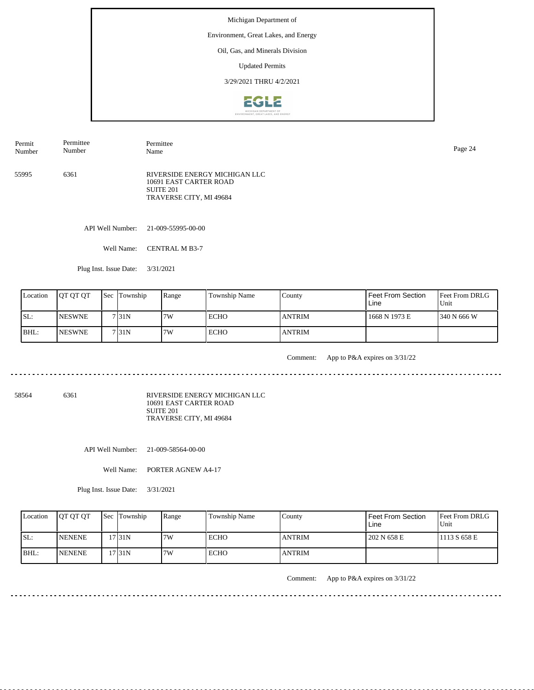#### Environment, Great Lakes, and Energy

Oil, Gas, and Minerals Division

Updated Permits

3/29/2021 THRU 4/2/2021



55995 6361 RIVERSIDE ENERGY MICHIGAN LLC 10691 EAST CARTER ROAD Permit Number Permittee Number Permittee Name Page 24

SUITE 201 TRAVERSE CITY, MI 49684

API Well Number: 21-009-55995-00-00

Well Name: CENTRAL M B3-7

Plug Inst. Issue Date: 3/31/2021

| Location | <b>JOT OT OT</b> | <b>Sec</b> Township | Range | Township Name | County        | Feet From Section<br>Line | <b>Feet From DRLG</b><br>Unit |
|----------|------------------|---------------------|-------|---------------|---------------|---------------------------|-------------------------------|
| ISL:     | <b>INESWNE</b>   | 7131N               | 7W    | <b>ECHO</b>   | <b>ANTRIM</b> | 1668 N 1973 E             | 1340 N 666 W                  |
| $IBHL$ : | <b>INESWNE</b>   | 7 31N               | 7W    | <b>ECHO</b>   | <b>ANTRIM</b> |                           |                               |

<u>. . . . . . . .</u>

Comment: App to P&A expires on 3/31/22

. . . . . . . . . . .

58564 6361

RIVERSIDE ENERGY MICHIGAN LLC 10691 EAST CARTER ROAD SUITE 201 TRAVERSE CITY, MI 49684

API Well Number: 21-009-58564-00-00

Well Name: PORTER AGNEW A4-17

Plug Inst. Issue Date: 3/31/2021

| Location | <b>OT OT OT</b> | <b>Sec</b> Township | Range | <b>Township Name</b> | Countv        | Feet From Section<br>Line | <b>Feet From DRLG</b><br>Unit |
|----------|-----------------|---------------------|-------|----------------------|---------------|---------------------------|-------------------------------|
| ISL:     | <b>INENENE</b>  | 17 31 N             | 7W    | ECHO                 | <b>ANTRIM</b> | 202 N 658 E               | 1113 S 658 E                  |
| BHL:     | <b>INENENE</b>  | 17 31N              | 7W    | ECHO                 | <b>ANTRIM</b> |                           |                               |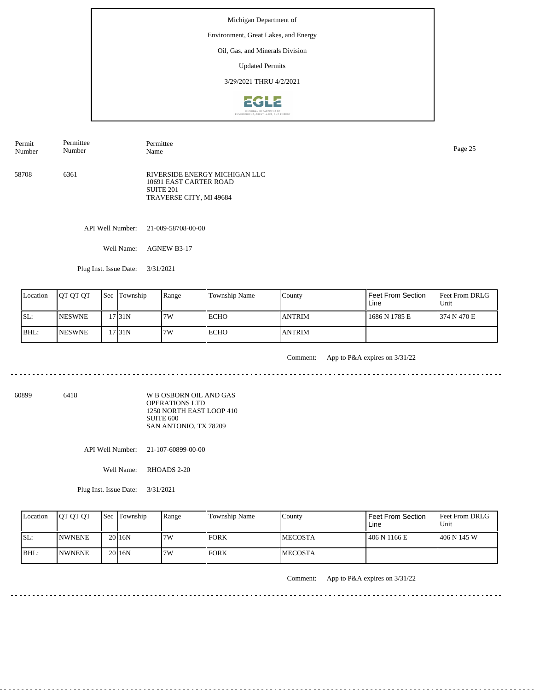#### Environment, Great Lakes, and Energy

Oil, Gas, and Minerals Division

Updated Permits

3/29/2021 THRU 4/2/2021



58708 6361 RIVERSIDE ENERGY MICHIGAN LLC 10691 EAST CARTER ROAD SUITE 201 TRAVERSE CITY, MI 49684 Permit Number Permittee Number Permittee Name Page 25

API Well Number: 21-009-58708-00-00

Well Name: AGNEW B3-17

Plug Inst. Issue Date: 3/31/2021

| Location | <b>IOT OT OT</b> | <b>Sec Township</b> | Range | l Township Name | County         | <sup>I</sup> Feet From Section<br>Line | <b>Feet From DRLG</b><br>l Unit |
|----------|------------------|---------------------|-------|-----------------|----------------|----------------------------------------|---------------------------------|
| ISL:     | <b>INESWNE</b>   | 731N                | 7W    | l ECHO          | <b>ANTRIM</b>  | 1686 N 1785 E                          | 1374 N 470 E                    |
| BHL:     | <b>INESWNE</b>   | 17 31 N             | 7W    | <b>ECHO</b>     | <b>LANTRIM</b> |                                        |                                 |

<u>. . . . . . . . . .</u>

Comment: App to P&A expires on 3/31/22

<u>. . . . . . . .</u>

60899 6418

W B OSBORN OIL AND GAS OPERATIONS LTD 1250 NORTH EAST LOOP 410 SUITE 600 SAN ANTONIO, TX 78209

API Well Number: 21-107-60899-00-00

Well Name: RHOADS 2-20

Plug Inst. Issue Date: 3/31/2021

|      | Location | <b>OT OT OT</b> | <b>Sec</b> Township | Range | <b>Township Name</b> | Countv          | <b>Feet From Section</b><br>Line | <b>Feet From DRLG</b><br>Unit |
|------|----------|-----------------|---------------------|-------|----------------------|-----------------|----------------------------------|-------------------------------|
| ISL: |          | <b>INWNENE</b>  | 20 <sub>16</sub> N  | 7W    | <b>FORK</b>          | <b>IMECOSTA</b> | 406 N 1166 E                     | 1406 N 145 W                  |
| BHL: |          | <b>INWNENE</b>  | 20 16N              | 7W    | <b>FORK</b>          | <b>IMECOSTA</b> |                                  |                               |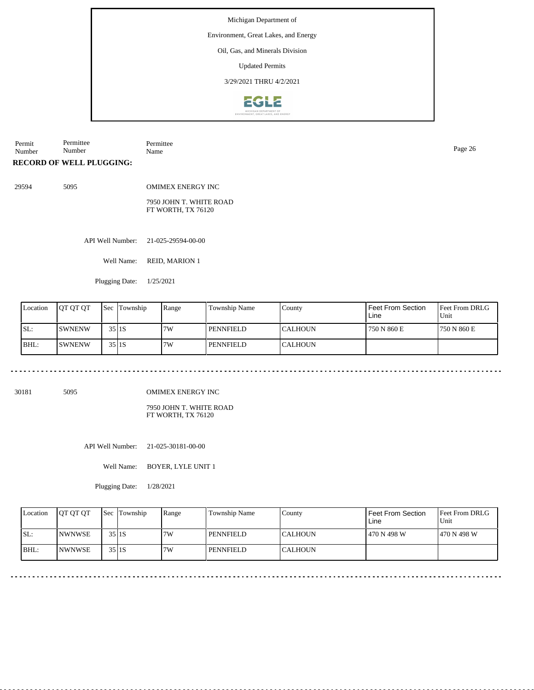#### Environment, Great Lakes, and Energy

Oil, Gas, and Minerals Division

Updated Permits

3/29/2021 THRU 4/2/2021



Permit Number Permittee Number Permittee Name Page 26

**RECORD OF WELL PLUGGING:**

29594 5095 OMIMEX ENERGY INC 7950 JOHN T. WHITE ROAD FT WORTH, TX 76120

API Well Number: 21-025-29594-00-00

Well Name: REID, MARION 1

Plugging Date: 1/25/2021

| Location | <b>JOT OT OT</b> | <b>Sec</b> | Township | Range | Township Name    | County   | l Feet From Section<br>Line | <b>Feet From DRLG</b><br>Unit |
|----------|------------------|------------|----------|-------|------------------|----------|-----------------------------|-------------------------------|
| SL:      | <b>ISWNENW</b>   | 35 I 1 S   |          | 7W    | l pennfiel d     | ICALHOUN | 750 N 860 E                 | <b>750 N 860 E</b>            |
| BHL:     | <b>ISWNENW</b>   | 35 I 1 S   |          | 7W    | <b>PENNFIELD</b> | ICALHOUN |                             |                               |

30181 5095

OMIMEX ENERGY INC

7950 JOHN T. WHITE ROAD FT WORTH, TX 76120

API Well Number: 21-025-30181-00-00

Well Name: BOYER, LYLE UNIT 1

Plugging Date: 1/28/2021

| Location | <b>IOT OT OT</b> | <b>Sec Township</b> | Range | Township Name    | County          | Feet From Section<br>Line | <b>Feet From DRLG</b><br>Unit |
|----------|------------------|---------------------|-------|------------------|-----------------|---------------------------|-------------------------------|
| ISL:     | <b>NWNWSE</b>    | $35$  1S            | 7W    | <b>PENNFIELD</b> | ICALHOUN        | 470 N 498 W               | 1470 N 498 W                  |
| BHL:     | <b>INWNWSE</b>   | $35$  1S            | 7W    | <b>PENNFIELD</b> | <b>ICALHOUN</b> |                           |                               |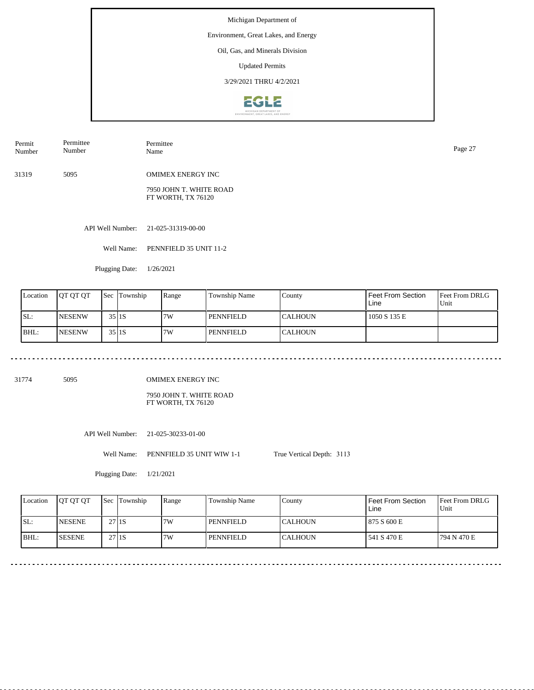#### Environment, Great Lakes, and Energy

Oil, Gas, and Minerals Division

Updated Permits

3/29/2021 THRU 4/2/2021



| Permit<br>Number | Permittee<br>Number | Permittee<br>Name        | Page 27 |
|------------------|---------------------|--------------------------|---------|
| 31319            | 5095                | <b>OMIMEX ENERGY INC</b> |         |
|                  |                     | 7950 JOHN T. WHITE ROAD  |         |

API Well Number: 21-025-31319-00-00

Well Name: PENNFIELD 35 UNIT 11-2

FT WORTH, TX 76120

Plugging Date: 1/26/2021

| Location | <b>IOT OT OT</b> | <b>Sec</b> | Township | Range | <b>Township Name</b> | County          | Feet From Section<br>Line | <b>Feet From DRLG</b><br>Unit |
|----------|------------------|------------|----------|-------|----------------------|-----------------|---------------------------|-------------------------------|
| SL:      | <b>INESENW</b>   |            | $35$ IIS | 7W    | l pennfield          | <b>ICALHOUN</b> | 1050 S 135 E              |                               |
| BHL:     | <b>INESENW</b>   |            | $35$ IIS | 7W    | PENNFIELD            | <b>CALHOUN</b>  |                           |                               |

31774 5095

OMIMEX ENERGY INC

7950 JOHN T. WHITE ROAD FT WORTH, TX 76120

API Well Number: 21-025-30233-01-00

Well Name: PENNFIELD 35 UNIT WIW 1-1

Plugging Date: 1/21/2021

| Location | <b>IOT OT OT</b> | <b>Sec</b> Township | Range | Township Name | County          | Feet From Section<br>Line | <b>Feet From DRLG</b><br>Unit |
|----------|------------------|---------------------|-------|---------------|-----------------|---------------------------|-------------------------------|
| SL:      | <b>INESENE</b>   | 27 <sub>1</sub> IS  | 7W    | PENNFIELD     | ICALHOUN        | 875 S 600 E               |                               |
| BHL:     | <b>SESENE</b>    | 27 <sub>1</sub> IS  | 7W    | PENNFIELD     | <b>ICALHOUN</b> | 541 S 470 E               | 1794 N 470 E                  |

True Vertical Depth: 3113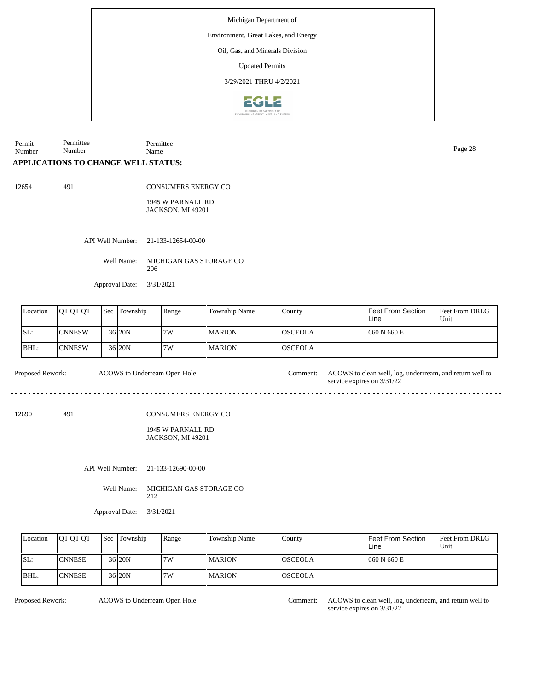Environment, Great Lakes, and Energy

Oil, Gas, and Minerals Division

Updated Permits

3/29/2021 THRU 4/2/2021



Permit Number Permittee Number Permittee Name Page 28

### **APPLICATIONS TO CHANGE WELL STATUS:**

12654 491

CONSUMERS ENERGY CO

1945 W PARNALL RD JACKSON, MI 49201

API Well Number: 21-133-12654-00-00

Well Name: MICHIGAN GAS STORAGE CO 206

Approval Date: 3/31/2021

| Location | <b>IOT OT OT</b> | <b>Sec</b> | Township  | Range | Township Name | County          | Feet From Section<br>Line | <b>Feet From DRLG</b><br>Unit |
|----------|------------------|------------|-----------|-------|---------------|-----------------|---------------------------|-------------------------------|
| SL:      | <b>CNNESW</b>    |            | 36 20N    | 7W    | <b>MARION</b> | IOSCEOLA        | 660 N 660 E               |                               |
| BHL:     | <b>CNNESW</b>    |            | $36$  20N | 7W    | <b>MARION</b> | <b>IOSCEOLA</b> |                           |                               |

Proposed Rework: ACOWS to clean well, log, underrream, and return well to ACOWS to Underream Open Hole Comment:

12690 491

CONSUMERS ENERGY CO

1945 W PARNALL RD JACKSON, MI 49201

API Well Number: 21-133-12690-00-00

Well Name: MICHIGAN GAS STORAGE CO 212

Approval Date: 3/31/2021

| Location | <b>IOT OT OT</b> | <b>Sec</b> Township | Range | Township Name | County   | Feet From Section<br>Line | <b>Feet From DRLG</b><br>l Unit |
|----------|------------------|---------------------|-------|---------------|----------|---------------------------|---------------------------------|
| SL:      | <b>CNNESE</b>    | 36 20N              | 7W    | <b>MARION</b> | IOSCEOLA | 660 N 660 E               |                                 |
| BHL:     | ICNNESE          | 36 <sub>120</sub> N | 7W    | <b>MARION</b> | IOSCEOLA |                           |                                 |

ACOWS to Underream Open Hole

Proposed Rework: ACOWS to Underream Open Hole Comment: ACOWS to clean well, log, underream, and return well to service expires on 3/31/22

service expires on 3/31/22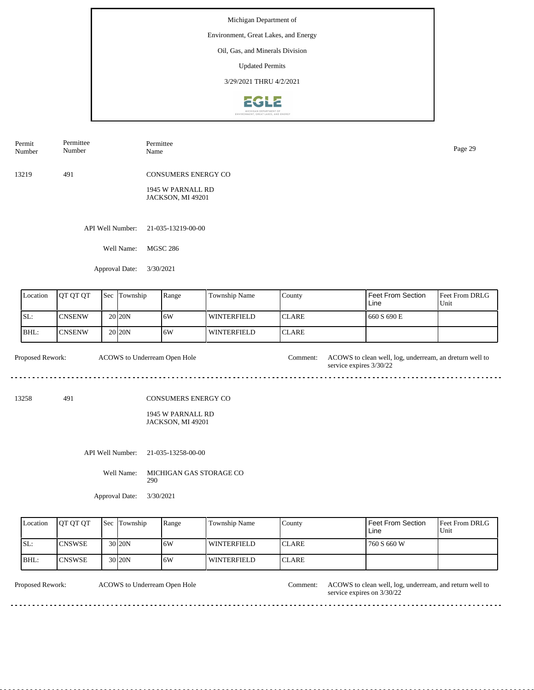#### Environment, Great Lakes, and Energy

Oil, Gas, and Minerals Division

Updated Permits

3/29/2021 THRU 4/2/2021



| Permit<br>Number | Permittee<br>Number | Permittee<br>Name                      | Page 29 |
|------------------|---------------------|----------------------------------------|---------|
| 13219            | 491                 | <b>CONSUMERS ENERGY CO</b>             |         |
|                  |                     | 1945 W PARNALL RD<br>JACKSON, MI 49201 |         |
|                  |                     | API Well Number: 21-035-13219-00-00    |         |
|                  | Well Name:          | <b>MGSC 286</b>                        |         |

Approval Date: 3/30/2021

| Location | <b>IOT OT OT</b> | l Sec | Township           | Range | <b>Township Name</b> | County        | Feet From Section<br>Line | <b>Feet From DRLG</b><br>Unit |
|----------|------------------|-------|--------------------|-------|----------------------|---------------|---------------------------|-------------------------------|
| SL:      | ICNSENW          |       | 20 <sub>20</sub> N | 16W   | WINTERFIELD          | <b>ICLARE</b> | 660 S 690 E               |                               |
| BHL:     | ICNSENW          |       | 20 <sub>20</sub> N | 16W   | WINTERFIELD          | <b>ICLARE</b> |                           |                               |

ACOWS to Underream Open Hole Proposed Rework: ACOWS to clean well, log, underream, an dreturn well to service expires 3/30/22  $- - - - - -$ 

13258 491

CONSUMERS ENERGY CO

1945 W PARNALL RD JACKSON, MI 49201

API Well Number: 21-035-13258-00-00

Well Name: MICHIGAN GAS STORAGE CO 290

Approval Date: 3/30/2021

| Location | <b>OT OT OT</b> | <b>Sec Township</b> | Range | Township Name | County        | Feet From Section<br>Line | <b>Feet From DRLG</b><br>l Unit |
|----------|-----------------|---------------------|-------|---------------|---------------|---------------------------|---------------------------------|
| ISL:     | <b>ICNSWSE</b>  | 30 <sub>20N</sub>   | 16W   | l winterfield | <b>ICLARE</b> | 760 S 660 W               |                                 |
| BHL:     | <b>CNSWSE</b>   | 30 20N              | 16W   | l winterfield | <b>CLARE</b>  |                           |                                 |

ACOWS to Underream Open Hole

Proposed Rework: ACOWS to Underream Open Hole Comment: ACOWS to clean well, log, underream, and return well to service expires on 3/30/22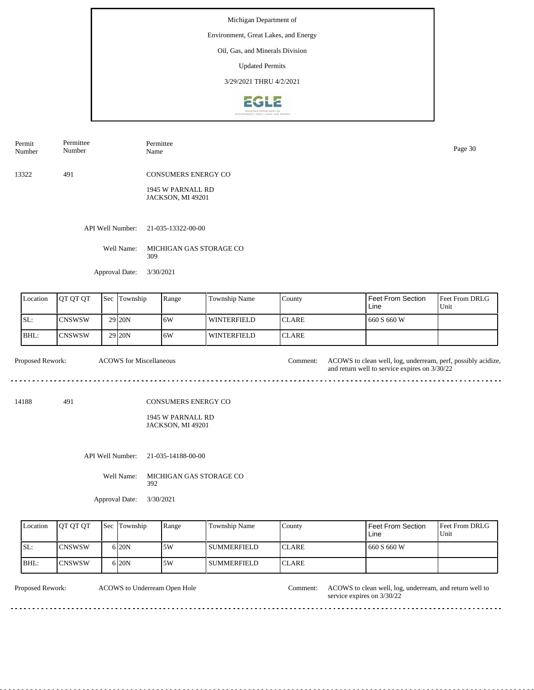Environment, Great Lakes, and Energy

Oil, Gas, and Minerals Division

Updated Permits

3/29/2021 THRU 4/2/2021



| Permit | Permittee | Permittee                  | Page 30 |
|--------|-----------|----------------------------|---------|
| Number | Number    | Name                       |         |
| 13322  | 491       | <b>CONSUMERS ENERGY CO</b> |         |

1945 W PARNALL RD JACKSON, MI 49201

API Well Number: 21-035-13322-00-00

Well Name: MICHIGAN GAS STORAGE CO 309

Approval Date: 3/30/2021

| Location | <b>JOT OT OT</b> | <b>Sec</b> Township | Range | <b>Township Name</b> | County        | l Feet From Section<br>Line | <b>IFeet From DRLG</b><br>Unit |
|----------|------------------|---------------------|-------|----------------------|---------------|-----------------------------|--------------------------------|
| ISL:     | lCNSWSW          | 29 <sub>120</sub> N | ا 6W  | WINTERFIELD          | <b>ICLARE</b> | 660 S 660 W                 |                                |
| BHL:     | CNSWSW           | 29 <sub>120</sub> N | ا 6W  | <b>WINTERFIELD</b>   | <b>ICLARE</b> |                             |                                |

Proposed Rework: ACOWS for Miscellaneous and the comment: ACOWS to clean well, log, underream, perf, possibly acidize, and return well to service expires on 3/30/22 ACOWS for Miscellaneous Comment:

14188 491

CONSUMERS ENERGY CO

1945 W PARNALL RD JACKSON, MI 49201

API Well Number: 21-035-14188-00-00

Well Name: MICHIGAN GAS STORAGE CO 392

Approval Date: 3/30/2021

| Location | <b>IOT OT OT</b> | <b>Sec Township</b> | Range | Township Name        | County        | Feet From Section<br>Line | <b>Feet From DRLG</b><br>Unit |
|----------|------------------|---------------------|-------|----------------------|---------------|---------------------------|-------------------------------|
| SL:      | <b>ICNSWSW</b>   | 6 <sub>20</sub> N   | .5W   | l SUMMERFIELD        | <b>ICLARE</b> | 660 S 660 W               |                               |
| BHL:     | <b>CNSWSW</b>    | 6 <sub>20</sub> N   | 5W    | <b>I SUMMERFIELD</b> | <b>ICLARE</b> |                           |                               |

ACOWS to Underream Open Hole

Proposed Rework: ACOWS to Underream Open Hole Comment: ACOWS to clean well, log, underream, and return well to service expires on 3/30/22

<u>. . . . . . . .</u>

 $\sim$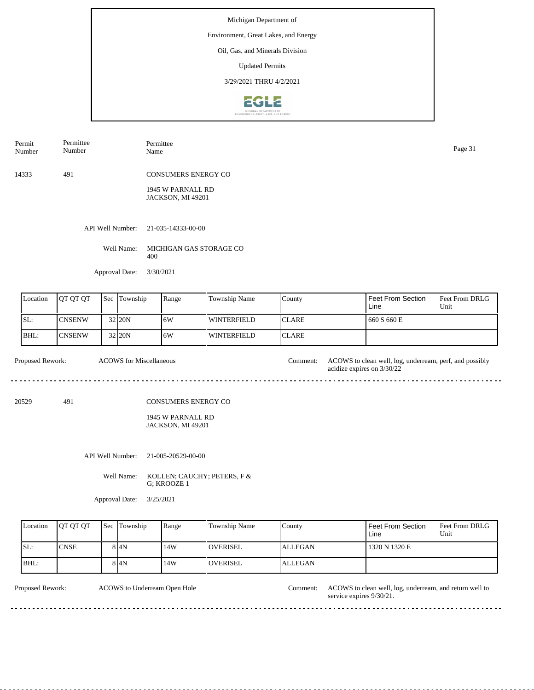Environment, Great Lakes, and Energy

Oil, Gas, and Minerals Division

Updated Permits

3/29/2021 THRU 4/2/2021



| Permit<br>Number | Permittee<br>Number | Permittee<br>Name          | Page 31 |
|------------------|---------------------|----------------------------|---------|
| 14333            | 491                 | <b>CONSUMERS ENERGY CO</b> |         |
|                  |                     | 1945 W PARNALL RD          |         |

API Well Number: 21-035-14333-00-00

Well Name: MICHIGAN GAS STORAGE CO 400

JACKSON, MI 49201

Approval Date: 3/30/2021

| Location | <b>OT OT OT</b> | <b>Sec</b> | Township | Range | Township Name | County        | l Feet From Section<br>Line | <b>Feet From DRLG</b><br>Unit |
|----------|-----------------|------------|----------|-------|---------------|---------------|-----------------------------|-------------------------------|
| SL:      | <b>CNSENW</b>   |            | 32 20N   | 16W   | WINTERFIELD   | <b>ICLARE</b> | 660 S 660 E                 |                               |
| IBHL:    | <b>CNSENW</b>   |            | 32 20N   | 16W   | WINTERFIELD   | <b>ICLARE</b> |                             |                               |

Proposed Rework: ACOWS to clean well, log, underream, perf, and possibly acidize expires on 3/30/22 ACOWS for Miscellaneous Comment: 20529 491

CONSUMERS ENERGY CO

1945 W PARNALL RD JACKSON, MI 49201

API Well Number: 21-005-20529-00-00

Well Name: KOLLEN; CAUCHY; PETERS, F & G; KROOZE 1

Approval Date: 3/25/2021

| Location | <b>IOT OT OT</b> | <b>Sec Township</b> | Range | Township Name    | County         | Feet From Section<br>Line | <b>Feet From DRLG</b><br>Unit |
|----------|------------------|---------------------|-------|------------------|----------------|---------------------------|-------------------------------|
| SL:      | <b>CNSE</b>      | 8 I4N               | 14W   | <b>LOVERISEL</b> | <b>ALLEGAN</b> | 1320 N 1320 E             |                               |
| BHL:     |                  | 8 I4N               | 14W   | <b>OVERISEL</b>  | <b>ALLEGAN</b> |                           |                               |

ACOWS to Underream Open Hole

Proposed Rework: ACOWS to clean well, log, underream, and return well to service expires 9/30/21.

. . . . . . . .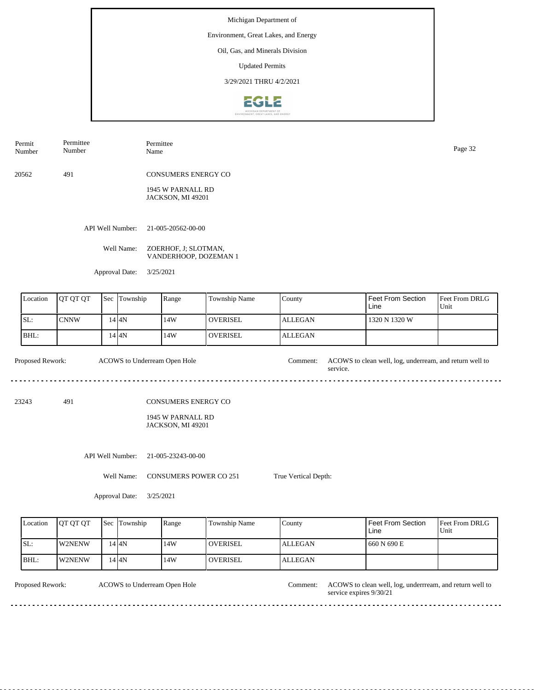Environment, Great Lakes, and Energy

Oil, Gas, and Minerals Division

Updated Permits

3/29/2021 THRU 4/2/2021



Permit Number Permittee Number Permittee

20562 491 CONSUMERS ENERGY CO

> 1945 W PARNALL RD JACKSON, MI 49201

API Well Number: 21-005-20562-00-00

Well Name: ZOERHOF, J; SLOTMAN, VANDERHOOP, DOZEMAN 1

Approval Date: 3/25/2021

| Location | <b>IOT OT OT</b> | Sec | Township | Range | <b>Township Name</b> | County         | l Feet From Section<br>Line | <b>Feet From DRLG</b><br>Unit |
|----------|------------------|-----|----------|-------|----------------------|----------------|-----------------------------|-------------------------------|
| SL:      | <b>CNNW</b>      |     | 4 I4N    | 14W   | <b>OVERISEL</b>      | <b>ALLEGAN</b> | 1320 N 1320 W               |                               |
| BHL:     |                  |     | 14 I 4 N | 14W   | <b>OVERISEL</b>      | ALLEGAN        |                             |                               |

Proposed Rework: ACOWS to clean well, log, underream, and return well to service. ACOWS to Underream Open Hole

23243 491

CONSUMERS ENERGY CO

1945 W PARNALL RD JACKSON, MI 49201

API Well Number: 21-005-23243-00-00

Well Name: CONSUMERS POWER CO 251 True Vertical Depth:

Approval Date: 3/25/2021

| Location | <b>IOT OT OT</b> | <b>Sec</b> | Township | Range | Township Name    | County         | Feet From Section<br>Line | <b>Feet From DRLG</b><br>Unit |
|----------|------------------|------------|----------|-------|------------------|----------------|---------------------------|-------------------------------|
| ISL:     | W2NENW           |            | 14 I 4 N | 14W   | <b>LOVERISEL</b> | <b>ALLEGAN</b> | <b>660 N 690 E</b>        |                               |
| BHL:     | W2NENW           |            | 4 I4N    | 14W   | <b>OVERISEL</b>  | <b>ALLEGAN</b> |                           |                               |

ACOWS to Underream Open Hole

Proposed Rework: ACOWS to clean well, log, underrream, and return well to service expires 9/30/21 Comment:

Page 32<br>Name Page 32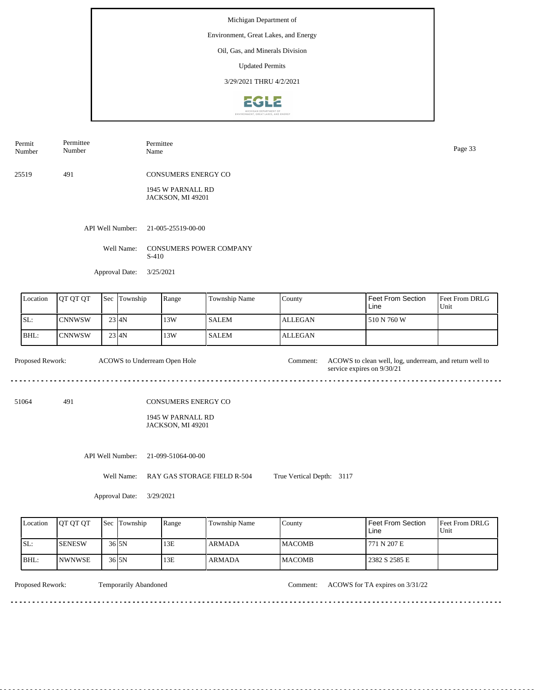Environment, Great Lakes, and Energy

Oil, Gas, and Minerals Division

Updated Permits

3/29/2021 THRU 4/2/2021



| Permit<br>Number | Permittee<br>Number | Permittee<br>Name                      | Page 33 |
|------------------|---------------------|----------------------------------------|---------|
| 25519            | 491                 | CONSUMERS ENERGY CO                    |         |
|                  |                     | 1945 W PARNALL RD<br>JACKSON, MI 49201 |         |

API Well Number: 21-005-25519-00-00

Well Name: CONSUMERS POWER COMPANY S-410

Approval Date: 3/25/2021

| <b>Location</b> | <b>OT OT OT</b> | <b>Sec Township</b> | Range | Township Name | County         | I Feet From Section<br>Line | <b>Feet From DRLG</b><br>Unit |
|-----------------|-----------------|---------------------|-------|---------------|----------------|-----------------------------|-------------------------------|
| SL:             | <b>ICNNWSW</b>  | $23$ $4N$           | 13W   | <b>SALEM</b>  | ALLEGAN        | 510 N 760 W                 |                               |
| BHL:            | <b>ICNNWSW</b>  | $23$ $4N$           | 13W   | <b>SALEM</b>  | <b>ALLEGAN</b> |                             |                               |

Proposed Rework: ACOWS to Underream Open Hole Comment: ACOWS to clean well, log, underream, and return well to ACOWS to Underream Open Hole service expires on  $9/30/21$ <u>. . . . . . . .</u> <u>. . . . . . .</u> <u>. . . . . . . . .</u>  $\overline{a}$ . 51064 491 CONSUMERS ENERGY CO 1945 W PARNALL RD JACKSON, MI 49201

API Well Number: 21-099-51064-00-00

Well Name: RAY GAS STORAGE FIELD R-504 True Vertical Depth: 3117

Approval Date: 3/29/2021

| Location | <b>IOT OT OT</b> | <b>Sec Township</b> | Range | Township Name | County         | <b>Feet From Section</b><br>Line | <b>Feet From DRLG</b><br>Unit |
|----------|------------------|---------------------|-------|---------------|----------------|----------------------------------|-------------------------------|
| ISL:     | ISENESW          | 36 <sub>15N</sub>   | 13E   | <b>ARMADA</b> | <b>IMACOMB</b> | 771 N 207 E                      |                               |
| BHL:     | INWNWSE          | 36 <sub>15N</sub>   | 13E   | <b>ARMADA</b> | <b>MACOMB</b>  | 2382 S 2585 E                    |                               |

. . . . . . . . . . . . . . . . . .

Temporarily Abandoned

Proposed Rework: Temporarily Abandoned Comment: ACOWS for TA expires on  $3/31/22$ 

<u>. . . . . . . . . . . . . . . . . .</u>